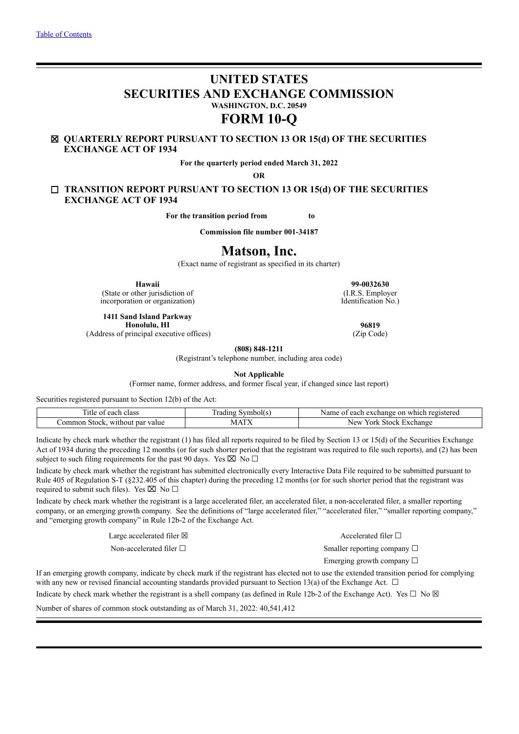# **UNITED STATES SECURITIES AND EXCHANGE COMMISSION WASHINGTON, D.C. 20549 FORM 10-Q**

# ☒ **QUARTERLY REPORT PURSUANT TO SECTION 13 OR 15(d) OF THE SECURITIES EXCHANGE ACT OF 1934**

**For the quarterly period ended March 31, 2022**

**OR**

# ☐ **TRANSITION REPORT PURSUANT TO SECTION 13 OR 15(d) OF THE SECURITIES EXCHANGE ACT OF 1934**

**For the transition period from to**

**Commission file number 001-34187**

# **Matson, Inc.**

(Exact name of registrant as specified in its charter)

**Hawaii 99-0032630**

(State or other jurisdiction of incorporation or organization)

**1411 Sand Island Parkway Honolulu, HI**

(Address of principal executive offices)

**96819** (Zip Code)

(I.R.S. Employer Identification No.)

**(808) 848-1211**

(Registrant's telephone number, including area code)

**Not Applicable**

(Former name, former address, and former fiscal year, if changed since last report)

Securities registered pursuant to Section 12(b) of the Act:

| Title<br>class<br>anch<br>$\Omega$<br>Cacil | radı.<br>symbol(s<br>dıno | registered<br>exchange<br>-or<br>each<br>which<br>Nan<br>۱e |
|---------------------------------------------|---------------------------|-------------------------------------------------------------|
| .ommor<br>value<br>without par<br>Stock     | MAT'                      | ′ork<br>New<br>∹xchange<br>Stock                            |

Indicate by check mark whether the registrant (1) has filed all reports required to be filed by Section 13 or 15(d) of the Securities Exchange Act of 1934 during the preceding 12 months (or for such shorter period that the registrant was required to file such reports), and (2) has been subject to such filing requirements for the past 90 days. Yes  $\boxtimes$  No  $\Box$ 

Indicate by check mark whether the registrant has submitted electronically every Interactive Data File required to be submitted pursuant to Rule 405 of Regulation S-T (§232.405 of this chapter) during the preceding 12 months (or for such shorter period that the registrant was required to submit such files). Yes  $\boxtimes$  No  $\square$ 

Indicate by check mark whether the registrant is a large accelerated filer, an accelerated filer, a non-accelerated filer, a smaller reporting company, or an emerging growth company. See the definitions of "large accelerated filer," "accelerated filer," "smaller reporting company," and "emerging growth company" in Rule 12b-2 of the Exchange Act.

> Large accelerated filer ⊠ and a set of the accelerated filer □ Non-accelerated filer □ state of the state of the Smaller reporting company □

Emerging growth company  $\Box$ 

If an emerging growth company, indicate by check mark if the registrant has elected not to use the extended transition period for complying with any new or revised financial accounting standards provided pursuant to Section 13(a) of the Exchange Act.  $\Box$ 

Indicate by check mark whether the registrant is a shell company (as defined in Rule 12b-2 of the Exchange Act). Yes  $\Box$  No  $\boxtimes$ 

Number of shares of common stock outstanding as of March 31, 2022: 40,541,412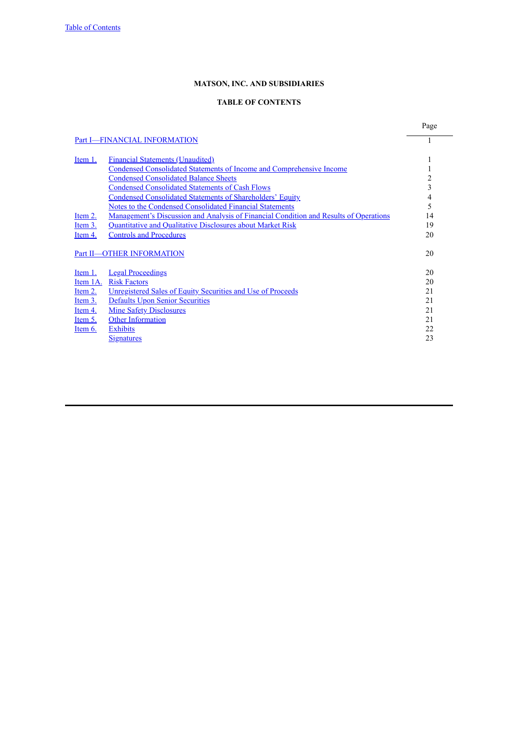# **MATSON, INC. AND SUBSIDIARIES**

# **TABLE OF CONTENTS**

<span id="page-1-0"></span>

|                |                                                                                              | Page           |
|----------------|----------------------------------------------------------------------------------------------|----------------|
|                | Part I-FINANCIAL INFORMATION                                                                 |                |
| Item 1.        | <b>Financial Statements (Unaudited)</b>                                                      |                |
|                | <b>Condensed Consolidated Statements of Income and Comprehensive Income</b>                  |                |
|                | <b>Condensed Consolidated Balance Sheets</b>                                                 | $\overline{2}$ |
|                | <b>Condensed Consolidated Statements of Cash Flows</b>                                       | 3              |
|                | Condensed Consolidated Statements of Shareholders' Equity                                    | 4              |
|                | <b>Notes to the Condensed Consolidated Financial Statements</b>                              | 5              |
| Item 2.        | <u>Management's Discussion and Analysis of Financial Condition and Results of Operations</u> | 14             |
| Item $3.$      | Quantitative and Qualitative Disclosures about Market Risk                                   | 19             |
| Item 4.        | <b>Controls and Procedures</b>                                                               | 20             |
|                | Part II-OTHER INFORMATION                                                                    | 20             |
| Item $1$ .     | <b>Legal Proceedings</b>                                                                     | 20             |
| Item 1A.       | <b>Risk Factors</b>                                                                          | 20             |
| Item $2.$      | <b>Unregistered Sales of Equity Securities and Use of Proceeds</b>                           | 21             |
| Item 3.        | <b>Defaults Upon Senior Securities</b>                                                       | 21             |
| Item 4.        | <b>Mine Safety Disclosures</b>                                                               | 2.1            |
| <u>Item 5.</u> | <b>Other Information</b>                                                                     | 2.1            |
| Item 6.        | <b>Exhibits</b>                                                                              | 22.            |
|                | <b>Signatures</b>                                                                            | 23             |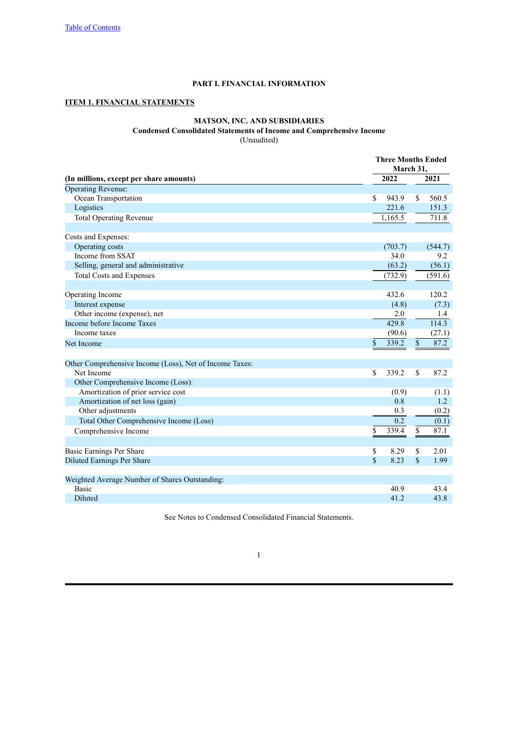# **PART I. FINANCIAL INFORMATION**

# <span id="page-2-1"></span><span id="page-2-0"></span>**ITEM 1. FINANCIAL STATEMENTS**

# **MATSON, INC. AND SUBSIDIARIES**

# **Condensed Consolidated Statements of Income and Comprehensive Income**

(Unaudited)

<span id="page-2-2"></span>

|                                                         |                      | <b>Three Months Ended</b><br>March 31, |  |  |
|---------------------------------------------------------|----------------------|----------------------------------------|--|--|
| (In millions, except per share amounts)                 | 2022                 | 2021                                   |  |  |
| <b>Operating Revenue:</b>                               |                      |                                        |  |  |
| Ocean Transportation                                    | \$<br>943.9          | \$.<br>560.5                           |  |  |
| Logistics                                               | 221.6                | 151.3                                  |  |  |
| <b>Total Operating Revenue</b>                          | 1.165.5              | 711.8                                  |  |  |
|                                                         |                      |                                        |  |  |
| Costs and Expenses:                                     |                      |                                        |  |  |
| Operating costs                                         | (703.7)              | (544.7)                                |  |  |
| Income from SSAT                                        | 34.0                 | 9.2                                    |  |  |
| Selling, general and administrative                     | (63.2)               | (56.1)                                 |  |  |
| <b>Total Costs and Expenses</b>                         | (732.9)              | (591.6)                                |  |  |
|                                                         |                      |                                        |  |  |
| Operating Income                                        | 432.6                | 120.2                                  |  |  |
| Interest expense                                        | (4.8)                | (7.3)                                  |  |  |
| Other income (expense), net                             | 2.0                  | 1.4                                    |  |  |
| Income before Income Taxes                              | 429.8                | 114.3                                  |  |  |
| Income taxes                                            | (90.6)               | (27.1)                                 |  |  |
| Net Income                                              | $\mathbf S$<br>339.2 | $\$$<br>87.2                           |  |  |
|                                                         |                      |                                        |  |  |
| Other Comprehensive Income (Loss), Net of Income Taxes: |                      |                                        |  |  |
| Net Income                                              | \$<br>339.2          | \$<br>87.2                             |  |  |
| Other Comprehensive Income (Loss):                      |                      |                                        |  |  |
| Amortization of prior service cost                      | (0.9)                | (1.1)                                  |  |  |
| Amortization of net loss (gain)                         | 0.8                  | 1.2                                    |  |  |
| Other adjustments                                       | 0.3                  | (0.2)                                  |  |  |
| Total Other Comprehensive Income (Loss)                 | 0.2                  | (0.1)                                  |  |  |
| Comprehensive Income                                    | \$<br>339.4          | \$<br>87.1                             |  |  |
|                                                         |                      |                                        |  |  |
| Basic Earnings Per Share                                | 8.29<br>\$           | 2.01<br>\$                             |  |  |
| Diluted Earnings Per Share                              | \$<br>8.23           | \$<br>1.99                             |  |  |
|                                                         |                      |                                        |  |  |
| Weighted Average Number of Shares Outstanding:          |                      |                                        |  |  |
| Basic                                                   | 40.9                 | 43.4                                   |  |  |
| Diluted                                                 | 41.2                 | 43.8                                   |  |  |

See Notes to Condensed Consolidated Financial Statements.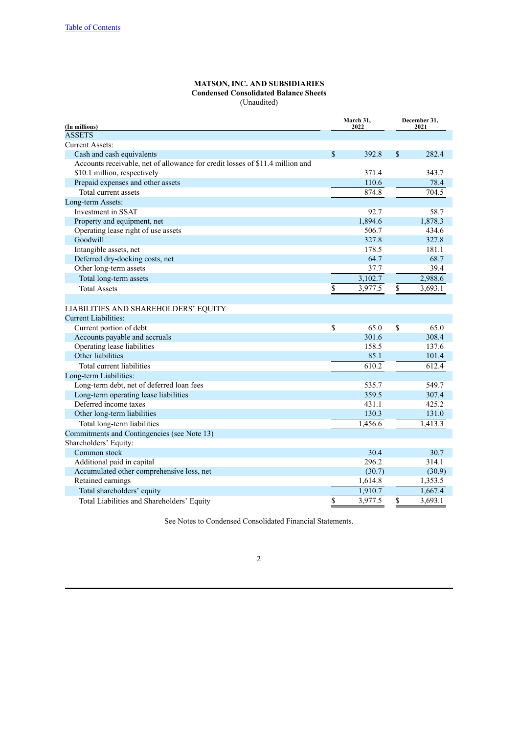# **MATSON, INC. AND SUBSIDIARIES Condensed Consolidated Balance Sheets** (Unaudited)

<span id="page-3-0"></span>

|                                                                               | March 31,     | December 31,    |         |  |
|-------------------------------------------------------------------------------|---------------|-----------------|---------|--|
| (In millions)<br><b>ASSETS</b>                                                | 2022          |                 | 2021    |  |
|                                                                               |               |                 |         |  |
| Current Assets:<br>Cash and cash equivalents                                  | \$<br>392.8   | \$              | 282.4   |  |
| Accounts receivable, net of allowance for credit losses of \$11.4 million and |               |                 |         |  |
| \$10.1 million, respectively                                                  | 371.4         |                 | 343.7   |  |
| Prepaid expenses and other assets                                             | 110.6         |                 | 78.4    |  |
|                                                                               |               |                 | 704.5   |  |
| Total current assets                                                          | 874.8         |                 |         |  |
| Long-term Assets:                                                             |               |                 |         |  |
| Investment in SSAT                                                            | 92.7          |                 | 58.7    |  |
| Property and equipment, net                                                   | 1,894.6       |                 | 1,878.3 |  |
| Operating lease right of use assets                                           | 506.7         |                 | 434.6   |  |
| Goodwill                                                                      | 327.8         |                 | 327.8   |  |
| Intangible assets, net                                                        | 178.5         |                 | 181.1   |  |
| Deferred dry-docking costs, net                                               | 64.7          |                 | 68.7    |  |
| Other long-term assets                                                        | 37.7          |                 | 39.4    |  |
| Total long-term assets                                                        | 3,102.7       |                 | 2,988.6 |  |
| <b>Total Assets</b>                                                           | \$<br>3,977.5 | $\overline{\$}$ | 3,693.1 |  |
|                                                                               |               |                 |         |  |
| LIABILITIES AND SHAREHOLDERS' EQUITY                                          |               |                 |         |  |
| <b>Current Liabilities:</b>                                                   |               |                 |         |  |
| Current portion of debt                                                       | \$<br>65.0    | \$              | 65.0    |  |
| Accounts payable and accruals                                                 | 301.6         |                 | 308.4   |  |
| Operating lease liabilities                                                   | 158.5         |                 | 137.6   |  |
| Other liabilities                                                             | 85.1          |                 | 101.4   |  |
| Total current liabilities                                                     | 610.2         |                 | 612.4   |  |
| Long-term Liabilities:                                                        |               |                 |         |  |
| Long-term debt, net of deferred loan fees                                     | 535.7         |                 | 549.7   |  |
| Long-term operating lease liabilities                                         | 359.5         |                 | 307.4   |  |
| Deferred income taxes                                                         | 431.1         |                 | 425.2   |  |
| Other long-term liabilities                                                   | 130.3         |                 | 131.0   |  |
| Total long-term liabilities                                                   | 1,456.6       |                 | 1,413.3 |  |
| Commitments and Contingencies (see Note 13)                                   |               |                 |         |  |
| Shareholders' Equity:                                                         |               |                 |         |  |
| Common stock                                                                  | 30.4          |                 | 30.7    |  |
| Additional paid in capital                                                    | 296.2         |                 | 314.1   |  |
| Accumulated other comprehensive loss, net                                     | (30.7)        |                 | (30.9)  |  |
| Retained earnings                                                             | 1,614.8       |                 | 1,353.5 |  |
| Total shareholders' equity                                                    | 1,910.7       |                 | 1,667.4 |  |
| Total Liabilities and Shareholders' Equity                                    | \$<br>3,977.5 | $\overline{\$}$ | 3,693.1 |  |

See Notes to Condensed Consolidated Financial Statements.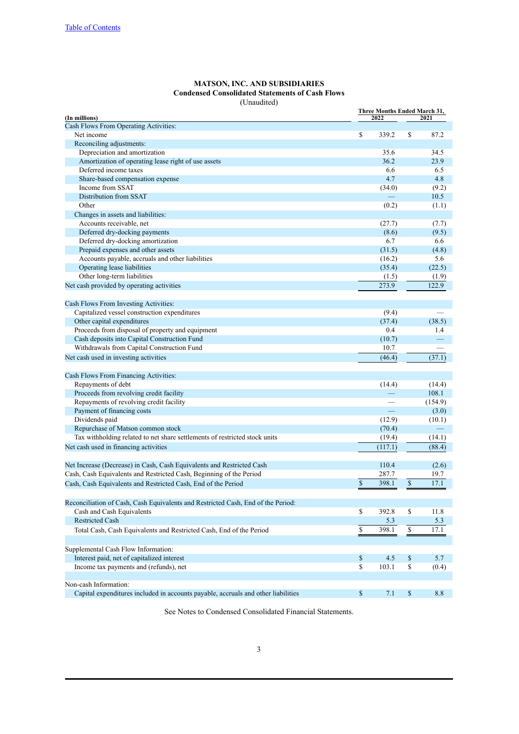# **MATSON, INC. AND SUBSIDIARIES Condensed Consolidated Statements of Cash Flows** (Unaudited)

<span id="page-4-0"></span>

| (In millions)                                                                     |               | 2022    |                      | Three Months Ended March 31,<br>2021 |  |  |
|-----------------------------------------------------------------------------------|---------------|---------|----------------------|--------------------------------------|--|--|
| Cash Flows From Operating Activities:                                             |               |         |                      |                                      |  |  |
| Net income                                                                        | \$            | 339.2   | \$                   | 87.2                                 |  |  |
| Reconciling adjustments:                                                          |               |         |                      |                                      |  |  |
| Depreciation and amortization                                                     |               | 35.6    |                      | 34.5                                 |  |  |
| Amortization of operating lease right of use assets                               |               | 36.2    |                      | 23.9                                 |  |  |
| Deferred income taxes                                                             |               | 6.6     |                      | 6.5                                  |  |  |
| Share-based compensation expense                                                  |               | 4.7     |                      | 4.8                                  |  |  |
| Income from SSAT                                                                  |               | (34.0)  |                      | (9.2)                                |  |  |
| Distribution from SSAT                                                            |               |         |                      | 10.5                                 |  |  |
| Other                                                                             |               | (0.2)   |                      | (1.1)                                |  |  |
| Changes in assets and liabilities:                                                |               |         |                      |                                      |  |  |
| Accounts receivable, net                                                          |               | (27.7)  |                      | (7.7)                                |  |  |
| Deferred dry-docking payments                                                     |               | (8.6)   |                      | (9.5)                                |  |  |
| Deferred dry-docking amortization                                                 |               | 6.7     |                      | 6.6                                  |  |  |
| Prepaid expenses and other assets                                                 |               | (31.5)  |                      | (4.8)                                |  |  |
| Accounts payable, accruals and other liabilities                                  |               | (16.2)  |                      | 5.6                                  |  |  |
| Operating lease liabilities                                                       |               | (35.4)  |                      | (22.5)                               |  |  |
| Other long-term liabilities                                                       |               | (1.5)   |                      | (1.9)                                |  |  |
| Net cash provided by operating activities                                         |               | 273.9   |                      | 122.9                                |  |  |
|                                                                                   |               |         |                      |                                      |  |  |
| Cash Flows From Investing Activities:                                             |               |         |                      |                                      |  |  |
| Capitalized vessel construction expenditures                                      |               | (9.4)   |                      |                                      |  |  |
| Other capital expenditures                                                        |               | (37.4)  |                      | (38.5)                               |  |  |
| Proceeds from disposal of property and equipment                                  |               | 0.4     |                      | 1.4                                  |  |  |
| Cash deposits into Capital Construction Fund                                      |               | (10.7)  |                      |                                      |  |  |
| Withdrawals from Capital Construction Fund                                        |               | 10.7    |                      |                                      |  |  |
| Net cash used in investing activities                                             |               | (46.4)  |                      | (37.1)                               |  |  |
|                                                                                   |               |         |                      |                                      |  |  |
| Cash Flows From Financing Activities:                                             |               |         |                      |                                      |  |  |
| Repayments of debt                                                                |               | (14.4)  |                      | (14.4)                               |  |  |
| Proceeds from revolving credit facility                                           |               |         |                      | 108.1                                |  |  |
| Repayments of revolving credit facility                                           |               |         |                      | (154.9)                              |  |  |
| Payment of financing costs                                                        |               |         |                      | (3.0)                                |  |  |
| Dividends paid                                                                    |               | (12.9)  |                      | (10.1)                               |  |  |
| Repurchase of Matson common stock                                                 |               | (70.4)  |                      |                                      |  |  |
| Tax withholding related to net share settlements of restricted stock units        |               | (19.4)  |                      | (14.1)                               |  |  |
| Net cash used in financing activities                                             |               | (117.1) |                      | (88.4)                               |  |  |
|                                                                                   |               |         |                      |                                      |  |  |
| Net Increase (Decrease) in Cash, Cash Equivalents and Restricted Cash             |               | 110.4   |                      | (2.6)                                |  |  |
| Cash, Cash Equivalents and Restricted Cash, Beginning of the Period               |               | 287.7   |                      | 19.7                                 |  |  |
| Cash, Cash Equivalents and Restricted Cash, End of the Period                     | $\mathcal{S}$ | 398.1   | $\mathbb{S}$         | 17.1                                 |  |  |
|                                                                                   |               |         |                      |                                      |  |  |
| Reconciliation of Cash, Cash Equivalents and Restricted Cash, End of the Period:  |               |         |                      |                                      |  |  |
| Cash and Cash Equivalents                                                         | \$            | 392.8   | \$                   | 11.8                                 |  |  |
| <b>Restricted Cash</b>                                                            |               | 5.3     |                      | 5.3                                  |  |  |
| Total Cash, Cash Equivalents and Restricted Cash, End of the Period               | $\$$          | 398.1   | $\sqrt{\frac{2}{n}}$ | 17.1                                 |  |  |
|                                                                                   |               |         |                      |                                      |  |  |
| Supplemental Cash Flow Information:                                               |               |         |                      |                                      |  |  |
| Interest paid, net of capitalized interest                                        | $\mathbb{S}$  | 4.5     | \$                   | 5.7                                  |  |  |
| Income tax payments and (refunds), net                                            | \$            | 103.1   | \$                   | (0.4)                                |  |  |
|                                                                                   |               |         |                      |                                      |  |  |
| Non-cash Information:                                                             |               |         |                      |                                      |  |  |
| Capital expenditures included in accounts payable, accruals and other liabilities | \$            | 7.1     | \$                   | 8.8                                  |  |  |
|                                                                                   |               |         |                      |                                      |  |  |

See Notes to Condensed Consolidated Financial Statements.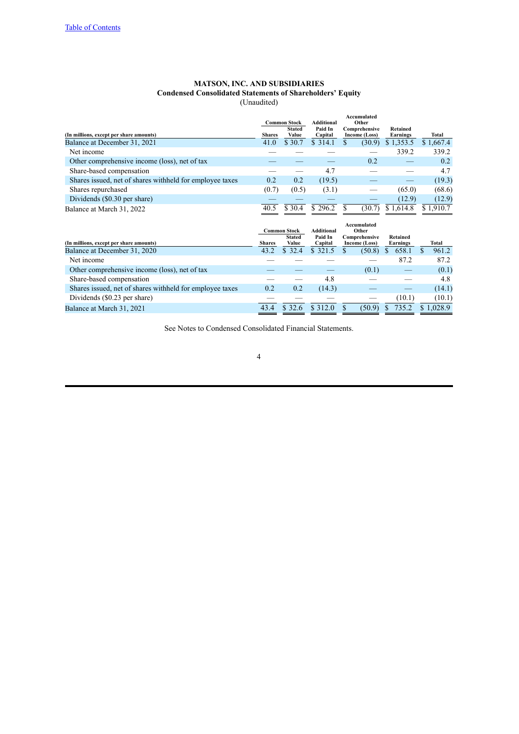#### **MATSON, INC. AND SUBSIDIARIES Condensed Consolidated Statements of Shareholders' Equity** (Unaudited)

<span id="page-5-0"></span>

| (In millions, except per share amounts)                  | <b>Shares</b> | <b>Common Stock</b><br><b>Stated</b><br>Value | <b>Additional</b><br>Paid In<br>Capital |              | <b>Accumulated</b><br>Other<br>Comprehensive<br>Income (Loss) | <b>Retained</b><br>Earnings | <b>Total</b> |
|----------------------------------------------------------|---------------|-----------------------------------------------|-----------------------------------------|--------------|---------------------------------------------------------------|-----------------------------|--------------|
| Balance at December 31, 2021                             | 41.0          | \$30.7                                        | \$314.1                                 | \$           | (30.9)                                                        | \$1,353.5                   | \$1,667.4    |
| Net income                                               |               |                                               |                                         |              |                                                               | 339.2                       | 339.2        |
| Other comprehensive income (loss), net of tax            |               |                                               |                                         |              | 0.2                                                           |                             | 0.2          |
| Share-based compensation                                 |               |                                               | 4.7                                     |              |                                                               |                             | 4.7          |
| Shares issued, net of shares withheld for employee taxes | 0.2           | 0.2                                           | (19.5)                                  |              |                                                               |                             | (19.3)       |
| Shares repurchased                                       | (0.7)         | (0.5)                                         | (3.1)                                   |              |                                                               | (65.0)                      | (68.6)       |
| Dividends (\$0.30 per share)                             |               |                                               |                                         |              |                                                               | (12.9)                      | (12.9)       |
| Balance at March 31, 2022                                | 40.5          | \$30.4                                        | \$296.2                                 | \$           | (30.7)                                                        | \$1,614.8                   | \$1,910.7    |
|                                                          |               |                                               |                                         |              |                                                               |                             |              |
| (In millions, except per share amounts)                  | <b>Shares</b> | <b>Common Stock</b><br><b>Stated</b><br>Value | Additional<br>Paid In<br>Capital        |              | Accumulated<br>Other<br>Comprehensive<br>Income (Loss)        | Retained<br>Earnings        | Total        |
| Balance at December 31, 2020                             | 43.2          | \$32.4                                        | \$321.5                                 | $\mathbf{S}$ | (50.8)                                                        | \$.<br>658.1                | \$<br>961.2  |
| Net income                                               |               |                                               |                                         |              |                                                               | 87.2                        | 87.2         |
| Other comprehensive income (loss), net of tax            |               |                                               |                                         |              | (0.1)                                                         |                             | (0.1)        |
| Share-based compensation                                 |               |                                               | 4.8                                     |              |                                                               |                             | 4.8          |
| Shares issued, net of shares withheld for employee taxes | 0.2           | 0.2                                           | (14.3)                                  |              |                                                               |                             | (14.1)       |
| Dividends (\$0.23 per share)                             |               |                                               |                                         |              |                                                               | (10.1)                      | (10.1)       |

See Notes to Condensed Consolidated Financial Statements.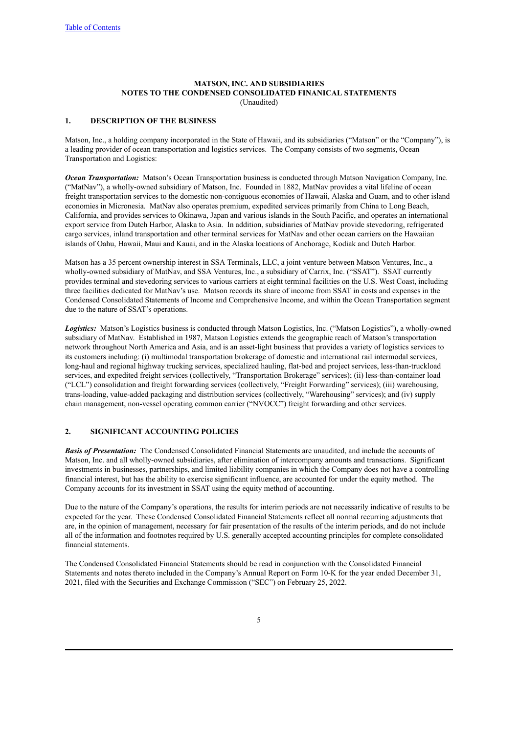#### **MATSON, INC. AND SUBSIDIARIES NOTES TO THE CONDENSED CONSOLIDATED FINANICAL STATEMENTS** (Unaudited)

# <span id="page-6-0"></span>**1. DESCRIPTION OF THE BUSINESS**

Matson, Inc., a holding company incorporated in the State of Hawaii, and its subsidiaries ("Matson" or the "Company"), is a leading provider of ocean transportation and logistics services. The Company consists of two segments, Ocean Transportation and Logistics:

*Ocean Transportation:* Matson's Ocean Transportation business is conducted through Matson Navigation Company, Inc. ("MatNav"), a wholly-owned subsidiary of Matson, Inc. Founded in 1882, MatNav provides a vital lifeline of ocean freight transportation services to the domestic non-contiguous economies of Hawaii, Alaska and Guam, and to other island economies in Micronesia. MatNav also operates premium, expedited services primarily from China to Long Beach, California, and provides services to Okinawa, Japan and various islands in the South Pacific, and operates an international export service from Dutch Harbor, Alaska to Asia. In addition, subsidiaries of MatNav provide stevedoring, refrigerated cargo services, inland transportation and other terminal services for MatNav and other ocean carriers on the Hawaiian islands of Oahu, Hawaii, Maui and Kauai, and in the Alaska locations of Anchorage, Kodiak and Dutch Harbor.

Matson has a 35 percent ownership interest in SSA Terminals, LLC, a joint venture between Matson Ventures, Inc., a wholly-owned subsidiary of MatNay, and SSA Ventures, Inc., a subsidiary of Carrix, Inc. ("SSAT"). SSAT currently provides terminal and stevedoring services to various carriers at eight terminal facilities on the U.S. West Coast, including three facilities dedicated for MatNav's use. Matson records its share of income from SSAT in costs and expenses in the Condensed Consolidated Statements of Income and Comprehensive Income, and within the Ocean Transportation segment due to the nature of SSAT's operations.

*Logistics:* Matson's Logistics business is conducted through Matson Logistics, Inc. ("Matson Logistics"), a wholly-owned subsidiary of MatNav. Established in 1987, Matson Logistics extends the geographic reach of Matson's transportation network throughout North America and Asia, and is an asset-light business that provides a variety of logistics services to its customers including: (i) multimodal transportation brokerage of domestic and international rail intermodal services, long-haul and regional highway trucking services, specialized hauling, flat-bed and project services, less-than-truckload services, and expedited freight services (collectively, "Transportation Brokerage" services); (ii) less-than-container load ("LCL") consolidation and freight forwarding services (collectively, "Freight Forwarding" services); (iii) warehousing, trans-loading, value-added packaging and distribution services (collectively, "Warehousing" services); and (iv) supply chain management, non-vessel operating common carrier ("NVOCC") freight forwarding and other services.

### **2. SIGNIFICANT ACCOUNTING POLICIES**

*Basis of Presentation:* The Condensed Consolidated Financial Statements are unaudited, and include the accounts of Matson, Inc. and all wholly-owned subsidiaries, after elimination of intercompany amounts and transactions. Significant investments in businesses, partnerships, and limited liability companies in which the Company does not have a controlling financial interest, but has the ability to exercise significant influence, are accounted for under the equity method. The Company accounts for its investment in SSAT using the equity method of accounting.

Due to the nature of the Company's operations, the results for interim periods are not necessarily indicative of results to be expected for the year. These Condensed Consolidated Financial Statements reflect all normal recurring adjustments that are, in the opinion of management, necessary for fair presentation of the results of the interim periods, and do not include all of the information and footnotes required by U.S. generally accepted accounting principles for complete consolidated financial statements.

The Condensed Consolidated Financial Statements should be read in conjunction with the Consolidated Financial Statements and notes thereto included in the Company's Annual Report on Form 10-K for the year ended December 31, 2021, filed with the Securities and Exchange Commission ("SEC") on February 25, 2022.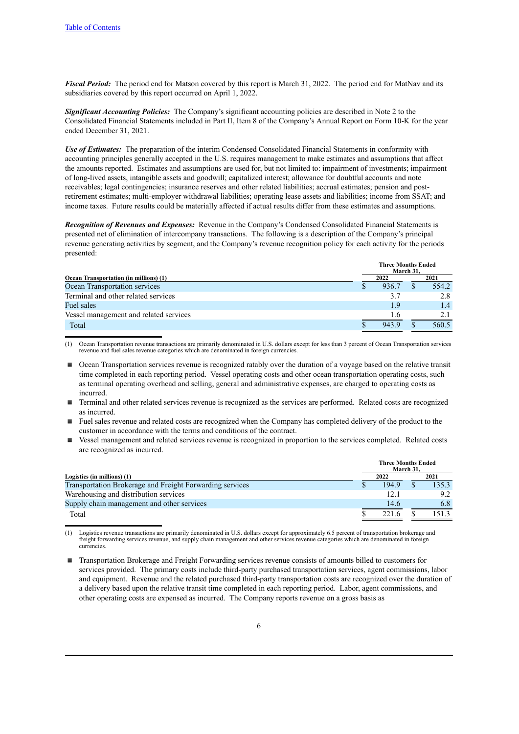*Fiscal Period:* The period end for Matson covered by this report is March 31, 2022. The period end for MatNav and its subsidiaries covered by this report occurred on April 1, 2022.

*Significant Accounting Policies:* The Company's significant accounting policies are described in Note 2 to the Consolidated Financial Statements included in Part II, Item 8 of the Company's Annual Report on Form 10-K for the year ended December 31, 2021.

*Use of Estimates:* The preparation of the interim Condensed Consolidated Financial Statements in conformity with accounting principles generally accepted in the U.S. requires management to make estimates and assumptions that affect the amounts reported. Estimates and assumptions are used for, but not limited to: impairment of investments; impairment of long-lived assets, intangible assets and goodwill; capitalized interest; allowance for doubtful accounts and note receivables; legal contingencies; insurance reserves and other related liabilities; accrual estimates; pension and postretirement estimates; multi-employer withdrawal liabilities; operating lease assets and liabilities; income from SSAT; and income taxes. Future results could be materially affected if actual results differ from these estimates and assumptions.

*Recognition of Revenues and Expenses:* Revenue in the Company's Condensed Consolidated Financial Statements is presented net of elimination of intercompany transactions. The following is a description of the Company's principal revenue generating activities by segment, and the Company's revenue recognition policy for each activity for the periods presented:

|                                               | <b>Three Months Ended</b><br>March 31, |       |  |       |
|-----------------------------------------------|----------------------------------------|-------|--|-------|
| <b>Ocean Transportation (in millions) (1)</b> |                                        | 2022  |  | 2021  |
| Ocean Transportation services                 |                                        | 936.7 |  | 554.2 |
| Terminal and other related services           |                                        | 37    |  | 2.8   |
| Fuel sales                                    |                                        | 19    |  | 1.4   |
| Vessel management and related services        |                                        | 1.6   |  |       |
| Total                                         |                                        | 943.9 |  | 560.5 |

(1) Ocean Transportation revenue transactions are primarily denominated in U.S. dollars except for less than 3 percent of Ocean Transportation services revenue and fuel sales revenue categories which are denominated in foreign currencies.

■ Ocean Transportation services revenue is recognized ratably over the duration of a voyage based on the relative transit time completed in each reporting period. Vessel operating costs and other ocean transportation operating costs, such as terminal operating overhead and selling, general and administrative expenses, are charged to operating costs as incurred.

■ Terminal and other related services revenue is recognized as the services are performed. Related costs are recognized as incurred.

- ◾ Fuel sales revenue and related costs are recognized when the Company has completed delivery of the product to the customer in accordance with the terms and conditions of the contract.
- Vessel management and related services revenue is recognized in proportion to the services completed. Related costs are recognized as incurred.

|                                                          | <b>Three Months Ended</b><br>March 31. |       |  |       |  |  |
|----------------------------------------------------------|----------------------------------------|-------|--|-------|--|--|
| Logistics (in millions) $(1)$                            |                                        | 2022  |  | 2021  |  |  |
| Transportation Brokerage and Freight Forwarding services |                                        | 194.9 |  | 135.3 |  |  |
| Warehousing and distribution services                    |                                        | 12.1  |  |       |  |  |
| Supply chain management and other services               |                                        | 14.6  |  | 6.8   |  |  |
| Total                                                    |                                        | 221.6 |  | 151.3 |  |  |
|                                                          |                                        |       |  |       |  |  |

(1) Logistics revenue transactions are primarily denominated in U.S. dollars except for approximately 6.5 percent of transportation brokerage and freight forwarding services revenue, and supply chain management and other services revenue categories which are denominated in foreign currencies.

◾ Transportation Brokerage and Freight Forwarding services revenue consists of amounts billed to customers for services provided. The primary costs include third-party purchased transportation services, agent commissions, labor and equipment. Revenue and the related purchased third-party transportation costs are recognized over the duration of a delivery based upon the relative transit time completed in each reporting period. Labor, agent commissions, and other operating costs are expensed as incurred. The Company reports revenue on a gross basis as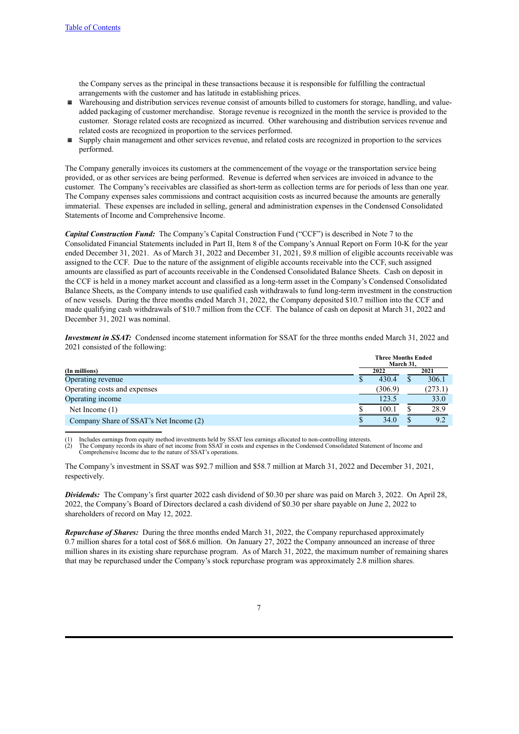the Company serves as the principal in these transactions because it is responsible for fulfilling the contractual arrangements with the customer and has latitude in establishing prices.

- Warehousing and distribution services revenue consist of amounts billed to customers for storage, handling, and valueadded packaging of customer merchandise. Storage revenue is recognized in the month the service is provided to the customer. Storage related costs are recognized as incurred. Other warehousing and distribution services revenue and related costs are recognized in proportion to the services performed.
- Supply chain management and other services revenue, and related costs are recognized in proportion to the services performed.

The Company generally invoices its customers at the commencement of the voyage or the transportation service being provided, or as other services are being performed. Revenue is deferred when services are invoiced in advance to the customer. The Company's receivables are classified as short-term as collection terms are for periods of less than one year. The Company expenses sales commissions and contract acquisition costs as incurred because the amounts are generally immaterial. These expenses are included in selling, general and administration expenses in the Condensed Consolidated Statements of Income and Comprehensive Income.

*Capital Construction Fund:* The Company's Capital Construction Fund ("CCF") is described in Note 7 to the Consolidated Financial Statements included in Part II, Item 8 of the Company's Annual Report on Form 10-K for the year ended December 31, 2021. As of March 31, 2022 and December 31, 2021, \$9.8 million of eligible accounts receivable was assigned to the CCF. Due to the nature of the assignment of eligible accounts receivable into the CCF, such assigned amounts are classified as part of accounts receivable in the Condensed Consolidated Balance Sheets. Cash on deposit in the CCF is held in a money market account and classified as a long-term asset in the Company's Condensed Consolidated Balance Sheets, as the Company intends to use qualified cash withdrawals to fund long-term investment in the construction of new vessels. During the three months ended March 31, 2022, the Company deposited \$10.7 million into the CCF and made qualifying cash withdrawals of \$10.7 million from the CCF. The balance of cash on deposit at March 31, 2022 and December 31, 2021 was nominal.

*Investment in SSAT:* Condensed income statement information for SSAT for the three months ended March 31, 2022 and 2021 consisted of the following:

|                                        | <b>Three Months Ended</b><br>March 31. |  |         |  |
|----------------------------------------|----------------------------------------|--|---------|--|
| (In millions)                          | 2022                                   |  | 2021    |  |
| Operating revenue                      | 430.4                                  |  | 306.1   |  |
| Operating costs and expenses           | (306.9)                                |  | (273.1) |  |
| Operating income                       | 123.5                                  |  | 33.0    |  |
| Net Income $(1)$                       | 100.1                                  |  | 28.9    |  |
| Company Share of SSAT's Net Income (2) | 34.0                                   |  | 9.2     |  |

(1) Includes earnings from equity method investments held by SSAT less earnings allocated to non-controlling interests.

(2) The Company records its share of net income from SSAT in costs and expenses in the Condensed Consolidated Statement of Income and Comprehensive Income due to the nature of SSAT's operations.

The Company's investment in SSAT was \$92.7 million and \$58.7 million at March 31, 2022 and December 31, 2021, respectively.

*Dividends:* The Company's first quarter 2022 cash dividend of \$0.30 per share was paid on March 3, 2022. On April 28, 2022, the Company's Board of Directors declared a cash dividend of \$0.30 per share payable on June 2, 2022 to shareholders of record on May 12, 2022.

*Repurchase of Shares:* During the three months ended March 31, 2022, the Company repurchased approximately 0.7 million shares for a total cost of \$68.6 million. On January 27, 2022 the Company announced an increase of three million shares in its existing share repurchase program. As of March 31, 2022, the maximum number of remaining shares that may be repurchased under the Company's stock repurchase program was approximately 2.8 million shares.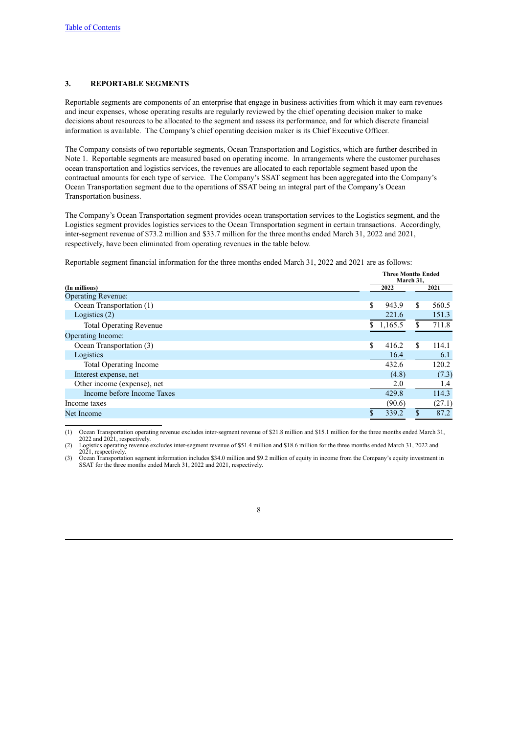# **3. REPORTABLE SEGMENTS**

Reportable segments are components of an enterprise that engage in business activities from which it may earn revenues and incur expenses, whose operating results are regularly reviewed by the chief operating decision maker to make decisions about resources to be allocated to the segment and assess its performance, and for which discrete financial information is available. The Company's chief operating decision maker is its Chief Executive Officer.

The Company consists of two reportable segments, Ocean Transportation and Logistics, which are further described in Note 1. Reportable segments are measured based on operating income. In arrangements where the customer purchases ocean transportation and logistics services, the revenues are allocated to each reportable segment based upon the contractual amounts for each type of service. The Company's SSAT segment has been aggregated into the Company's Ocean Transportation segment due to the operations of SSAT being an integral part of the Company's Ocean Transportation business.

The Company's Ocean Transportation segment provides ocean transportation services to the Logistics segment, and the Logistics segment provides logistics services to the Ocean Transportation segment in certain transactions. Accordingly, inter-segment revenue of \$73.2 million and \$33.7 million for the three months ended March 31, 2022 and 2021, respectively, have been eliminated from operating revenues in the table below.

Reportable segment financial information for the three months ended March 31, 2022 and 2021 are as follows:

|                                |     | <b>Three Months Ended</b><br>March 31, |              |        |  |  |
|--------------------------------|-----|----------------------------------------|--------------|--------|--|--|
| (In millions)                  |     | 2022                                   |              | 2021   |  |  |
| <b>Operating Revenue:</b>      |     |                                        |              |        |  |  |
| Ocean Transportation (1)       | \$  | 943.9                                  | \$.          | 560.5  |  |  |
| Logistics $(2)$                |     | 221.6                                  |              | 151.3  |  |  |
| <b>Total Operating Revenue</b> |     | 1,165.5                                | \$.          | 711.8  |  |  |
| Operating Income:              |     |                                        |              |        |  |  |
| Ocean Transportation (3)       | \$. | 416.2                                  | \$.          | 114.1  |  |  |
| Logistics                      |     | 16.4                                   |              | 6.1    |  |  |
| <b>Total Operating Income</b>  |     | 432.6                                  |              | 120.2  |  |  |
| Interest expense, net          |     | (4.8)                                  |              | (7.3)  |  |  |
| Other income (expense), net    |     | 2.0                                    |              | 1.4    |  |  |
| Income before Income Taxes     |     | 429.8                                  |              | 114.3  |  |  |
| Income taxes                   |     | (90.6)                                 |              | (27.1) |  |  |
| Net Income                     | \$  | 339.2                                  | $\mathbf{s}$ | 87.2   |  |  |

(1) Ocean Transportation operating revenue excludes inter-segment revenue of \$21.8 million and \$15.1 million for the three months ended March 31, 2022 and 2021, respectively.

(2) Logistics operating revenue excludes inter-segment revenue of \$51.4 million and \$18.6 million for the three months ended March 31, 2022 and

2021, respectively.<br>
(3) Ocean Transportation segment information includes \$34.0 million and \$9.2 million of equity in income from the Company's equity investment in<br>
SSAT for the three months ended March 31, 2022 and 2021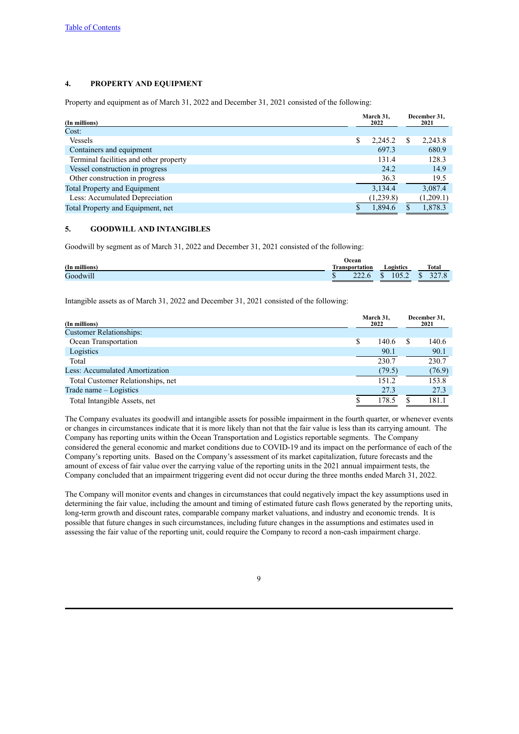### **4. PROPERTY AND EQUIPMENT**

Property and equipment as of March 31, 2022 and December 31, 2021 consisted of the following:

| (In millions)                          | March 31.<br>2022 |           |   | December 31.<br>2021 |
|----------------------------------------|-------------------|-----------|---|----------------------|
| Cost:                                  |                   |           |   |                      |
| Vessels                                | S                 | 2,245.2   | S | 2,243.8              |
| Containers and equipment               |                   | 697.3     |   | 680.9                |
| Terminal facilities and other property |                   | 131.4     |   | 128.3                |
| Vessel construction in progress        |                   | 24.2      |   | 14.9                 |
| Other construction in progress         |                   | 36.3      |   | 19.5                 |
| <b>Total Property and Equipment</b>    |                   | 3,134.4   |   | 3,087.4              |
| Less: Accumulated Depreciation         |                   | (1,239.8) |   | (1,209.1)            |
| Total Property and Equipment, net      |                   | 1,894.6   |   | 1,878.3              |

### **5. GOODWILL AND INTANGIBLES**

Goodwill by segment as of March 31, 2022 and December 31, 2021 consisted of the following:

|                   |                  | Ocean                               |           |              |
|-------------------|------------------|-------------------------------------|-----------|--------------|
| (In millions)     |                  | Fransportation                      | Logistics | <b>Total</b> |
| 1.1.1<br>Goodwill | $\triangle$<br>w | $\mathcal{L}$<br>$\sqrt{2}$<br>44.4 | 105.2     | 327.8        |

Intangible assets as of March 31, 2022 and December 31, 2021 consisted of the following:

| (In millions)                     | March 31,<br>2022 | December 31.<br>2021 |  |
|-----------------------------------|-------------------|----------------------|--|
| <b>Customer Relationships:</b>    |                   |                      |  |
| Ocean Transportation              | 140.6             | 140.6                |  |
| Logistics                         | 90.1              | 90.1                 |  |
| Total                             | 230.7             | 230.7                |  |
| Less: Accumulated Amortization    | (79.5)            | (76.9)               |  |
| Total Customer Relationships, net | 151.2             | 153.8                |  |
| Trade name - Logistics            | 27.3              | 27.3                 |  |
| Total Intangible Assets, net      | 178.5             | 181.1                |  |

The Company evaluates its goodwill and intangible assets for possible impairment in the fourth quarter, or whenever events or changes in circumstances indicate that it is more likely than not that the fair value is less than its carrying amount. The Company has reporting units within the Ocean Transportation and Logistics reportable segments. The Company considered the general economic and market conditions due to COVID-19 and its impact on the performance of each of the Company's reporting units. Based on the Company's assessment of its market capitalization, future forecasts and the amount of excess of fair value over the carrying value of the reporting units in the 2021 annual impairment tests, the Company concluded that an impairment triggering event did not occur during the three months ended March 31, 2022.

The Company will monitor events and changes in circumstances that could negatively impact the key assumptions used in determining the fair value, including the amount and timing of estimated future cash flows generated by the reporting units, long-term growth and discount rates, comparable company market valuations, and industry and economic trends. It is possible that future changes in such circumstances, including future changes in the assumptions and estimates used in assessing the fair value of the reporting unit, could require the Company to record a non-cash impairment charge.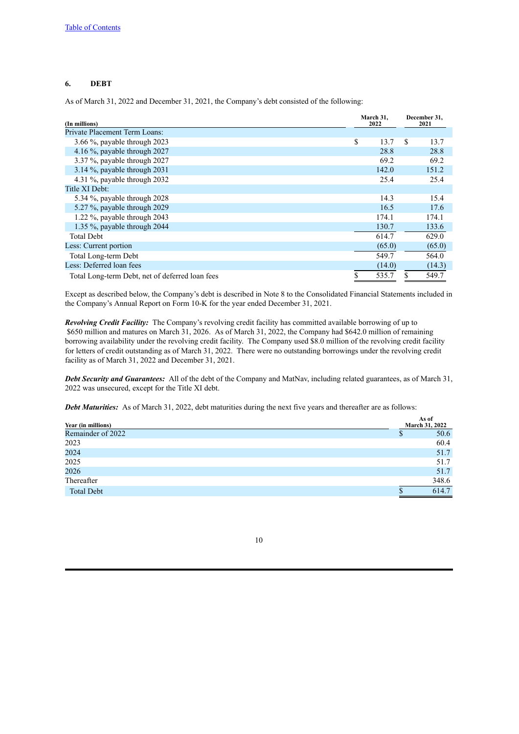# **6. DEBT**

As of March 31, 2022 and December 31, 2021, the Company's debt consisted of the following:

| (In millions)                                   | March 31.<br>2022 | December 31,<br>2021 |  |
|-------------------------------------------------|-------------------|----------------------|--|
| Private Placement Term Loans:                   |                   |                      |  |
| 3.66 $\%$ , payable through 2023                | \$<br>13.7        | \$.<br>13.7          |  |
| 4.16 %, payable through 2027                    | 28.8              | 28.8                 |  |
| 3.37 %, payable through 2027                    | 69.2              | 69.2                 |  |
| 3.14 %, payable through $2031$                  | 142.0             | 151.2                |  |
| 4.31 %, payable through 2032                    | 25.4              | 25.4                 |  |
| Title XI Debt:                                  |                   |                      |  |
| 5.34 %, payable through 2028                    | 14.3              | 15.4                 |  |
| 5.27 %, payable through 2029                    | 16.5              | 17.6                 |  |
| 1.22 %, payable through $2043$                  | 174.1             | 174.1                |  |
| 1.35 %, payable through 2044                    | 130.7             | 133.6                |  |
| <b>Total Debt</b>                               | 614.7             | 629.0                |  |
| Less: Current portion                           | (65.0)            | (65.0)               |  |
| Total Long-term Debt                            | 549.7             | 564.0                |  |
| Less: Deferred loan fees                        | (14.0)            | (14.3)               |  |
| Total Long-term Debt, net of deferred loan fees | \$<br>535.7       | \$<br>549.7          |  |

Except as described below, the Company's debt is described in Note 8 to the Consolidated Financial Statements included in the Company's Annual Report on Form 10-K for the year ended December 31, 2021.

*Revolving Credit Facility:* The Company's revolving credit facility has committed available borrowing of up to \$650 million and matures on March 31, 2026. As of March 31, 2022, the Company had \$642.0 million of remaining borrowing availability under the revolving credit facility. The Company used \$8.0 million of the revolving credit facility for letters of credit outstanding as of March 31, 2022. There were no outstanding borrowings under the revolving credit facility as of March 31, 2022 and December 31, 2021.

*Debt Security and Guarantees:* All of the debt of the Company and MatNav, including related guarantees, as of March 31, 2022 was unsecured, except for the Title XI debt.

*Debt Maturities:* As of March 31, 2022, debt maturities during the next five years and thereafter are as follows:

| Year (in millions) | As of<br>March 31, 2022 |  |  |
|--------------------|-------------------------|--|--|
| Remainder of 2022  | 50.6                    |  |  |
| 2023               | 60.4                    |  |  |
| 2024               | 51.7                    |  |  |
| 2025               | 51.7                    |  |  |
| 2026               | 51.7                    |  |  |
| Thereafter         | 348.6                   |  |  |
| <b>Total Debt</b>  | 614.7                   |  |  |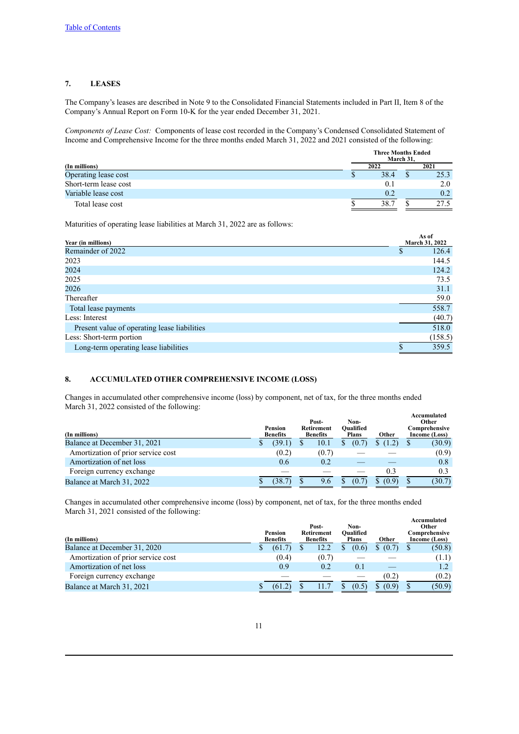# **7. LEASES**

The Company's leases are described in Note 9 to the Consolidated Financial Statements included in Part II, Item 8 of the Company's Annual Report on Form 10-K for the year ended December 31, 2021.

*Components of Lease Cost:* Components of lease cost recorded in the Company's Condensed Consolidated Statement of Income and Comprehensive Income for the three months ended March 31, 2022 and 2021 consisted of the following:

|                       | <b>Three Months Ended</b> | March 31, |      |
|-----------------------|---------------------------|-----------|------|
| (In millions)         | 2022                      |           | 2021 |
| Operating lease cost  | 38.4                      |           | 25.3 |
| Short-term lease cost | 0.1                       |           | 2.0  |
| Variable lease cost   | 0.2                       |           | 0.2  |
| Total lease cost      | 38.7                      |           |      |

Maturities of operating lease liabilities at March 31, 2022 are as follows:

| As of          |
|----------------|
| March 31, 2022 |
| 126.4<br>\$    |
| 144.5          |
| 124.2          |
| 73.5           |
| 31.1           |
| 59.0           |
| 558.7          |
| (40.7)         |
| 518.0          |
| (158.5)        |
| 359.5          |
|                |

# **8. ACCUMULATED OTHER COMPREHENSIVE INCOME (LOSS)**

Changes in accumulated other comprehensive income (loss) by component, net of tax, for the three months ended March 31, 2022 consisted of the following: **Accumulated**

| (In millions)                      | Pension<br><b>Benefits</b> | Post-<br>Retirement<br><b>Benefits</b> | Non-<br>Oualified<br>Plans | Other | 110011111111000<br>Other<br>Comprehensive<br>Income (Loss) |
|------------------------------------|----------------------------|----------------------------------------|----------------------------|-------|------------------------------------------------------------|
| Balance at December 31, 2021       | (39.1)                     | 10.1                                   | (0.7)                      |       | (30.9)                                                     |
| Amortization of prior service cost | (0.2)                      | (0.7)                                  |                            |       | (0.9)                                                      |
| Amortization of net loss           | 0.6                        | 0.2                                    |                            |       | 0.8                                                        |
| Foreign currency exchange          |                            |                                        |                            | 0.3   | 0.3                                                        |
| Balance at March 31, 2022          | 38.7                       | 9.6                                    | (0.7)                      | (0.9) | (30.7)                                                     |

Changes in accumulated other comprehensive income (loss) by component, net of tax, for the three months ended March 31, 2021 consisted of the following:

| (In millions)                      | Pension<br><b>Benefits</b> | Post-<br>Retirement<br><b>Benefits</b> | Non-<br>Oualified<br>Plans | Other        |   | Accumulated<br><b>Other</b><br>Comprehensive<br>Income (Loss) |
|------------------------------------|----------------------------|----------------------------------------|----------------------------|--------------|---|---------------------------------------------------------------|
| Balance at December 31, 2020       | (61.7)                     | 12.2                                   | (0.6)                      | (0.7)<br>S.  |   | (50.8)                                                        |
| Amortization of prior service cost | (0.4)                      | (0.7)                                  |                            |              |   | (1.1)                                                         |
| Amortization of net loss           | 0.9                        | 0.2                                    | 0.1                        |              |   |                                                               |
| Foreign currency exchange          |                            |                                        |                            | (0.2)        |   | (0.2)                                                         |
| Balance at March 31, 2021          | (61.2)                     | 11.7                                   | (0.5)                      | (0.9)<br>\$. | S | (50.9)                                                        |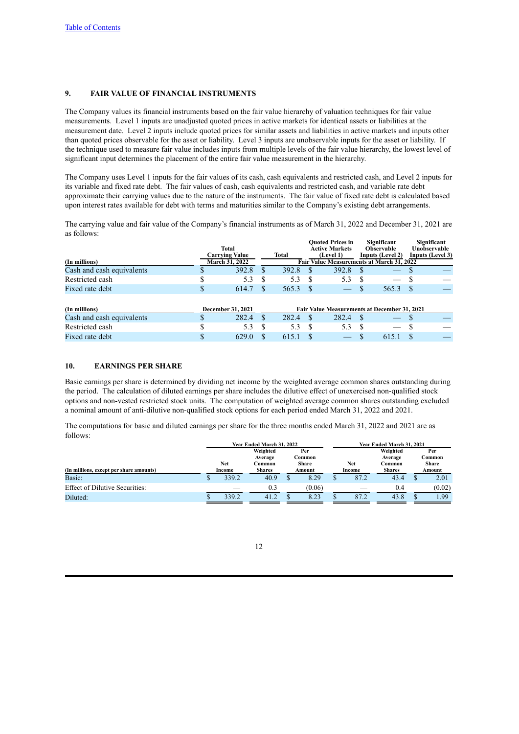# **9. FAIR VALUE OF FINANCIAL INSTRUMENTS**

The Company values its financial instruments based on the fair value hierarchy of valuation techniques for fair value measurements. Level 1 inputs are unadjusted quoted prices in active markets for identical assets or liabilities at the measurement date. Level 2 inputs include quoted prices for similar assets and liabilities in active markets and inputs other than quoted prices observable for the asset or liability. Level 3 inputs are unobservable inputs for the asset or liability. If the technique used to measure fair value includes inputs from multiple levels of the fair value hierarchy, the lowest level of significant input determines the placement of the entire fair value measurement in the hierarchy.

The Company uses Level 1 inputs for the fair values of its cash, cash equivalents and restricted cash, and Level 2 inputs for its variable and fixed rate debt. The fair values of cash, cash equivalents and restricted cash, and variable rate debt approximate their carrying values due to the nature of the instruments. The fair value of fixed rate debt is calculated based upon interest rates available for debt with terms and maturities similar to the Company's existing debt arrangements.

The carrying value and fair value of the Company's financial instruments as of March 31, 2022 and December 31, 2021 are as follows:

|                           |    |                          |     |            |     | <b>Ouoted Prices in</b>  |    | <b>Significant</b>                                  | Significant      |
|---------------------------|----|--------------------------|-----|------------|-----|--------------------------|----|-----------------------------------------------------|------------------|
|                           |    | <b>Total</b>             |     |            |     | <b>Active Markets</b>    |    | <b>Observable</b>                                   | Unobservable     |
|                           |    | <b>Carrying Value</b>    |     | Total      |     | (Level 1)                |    | Inputs (Level 2)                                    | Inputs (Level 3) |
| (In millions)             |    | <b>March 31, 2022</b>    |     |            |     |                          |    | Fair Value Measurements at March 31, 2022           |                  |
| Cash and cash equivalents | S  | 392.8                    | \$. | 392.8      | \$. | 392.8                    | -S | S<br>$\overline{\phantom{0}}$                       |                  |
| Restricted cash           | \$ | 5.3                      | -S  | 5.3        |     | 5.3                      |    | S                                                   |                  |
| Fixed rate debt           | \$ | 614.7                    | \$. | $565.3$ \$ |     | $\overline{\phantom{0}}$ |    | 565.3<br>-8                                         |                  |
|                           |    |                          |     |            |     |                          |    |                                                     |                  |
| (In millions)             |    | <b>December 31, 2021</b> |     |            |     |                          |    | <b>Fair Value Measurements at December 31, 2021</b> |                  |
| Cash and cash equivalents | S  | 282.4                    | S   | 282.4      | S   | 282.4                    |    |                                                     |                  |
| Restricted cash           | \$ | 5.3                      | -S  | 5.3        | -S  | 5.3                      |    | S                                                   |                  |
| Fixed rate debt           | S  | 629.0                    | S   | 615.1      |     |                          |    | 615.1                                               |                  |
|                           |    |                          |     |            |     |                          |    |                                                     |                  |

#### **10. EARNINGS PER SHARE**

Basic earnings per share is determined by dividing net income by the weighted average common shares outstanding during the period. The calculation of diluted earnings per share includes the dilutive effect of unexercised non-qualified stock options and non-vested restricted stock units. The computation of weighted average common shares outstanding excluded a nominal amount of anti-dilutive non-qualified stock options for each period ended March 31, 2022 and 2021.

The computations for basic and diluted earnings per share for the three months ended March 31, 2022 and 2021 are as follows:

|                                         | Year Ended March 31, 2022 |                 |               |  |              |          | Year Ended March 31, 2021 |               |  |              |  |  |
|-----------------------------------------|---------------------------|-----------------|---------------|--|--------------|----------|---------------------------|---------------|--|--------------|--|--|
|                                         |                           | Weighted<br>Per |               |  |              | Weighted |                           | Per           |  |              |  |  |
|                                         |                           |                 | Average       |  | Common       |          |                           | Average       |  | Common       |  |  |
|                                         |                           | <b>Net</b>      | Common        |  | <b>Share</b> |          | Net                       | Common        |  | <b>Share</b> |  |  |
| (In millions, except per share amounts) |                           | Income          | <b>Shares</b> |  | Amount       |          | Income                    | <b>Shares</b> |  | Amount       |  |  |
| Basic:                                  |                           | 339.2           | 40.9          |  | 8.29         | а        | 87.2                      | 43.4          |  | 2.01         |  |  |
| <b>Effect of Dilutive Securities:</b>   |                           |                 | 0.3           |  | (0.06)       |          |                           | 0.4           |  | (0.02)       |  |  |
| Diluted:                                |                           | 339.2           | 41.2          |  | 8.23         |          | 87.2                      | 43.8          |  | .99          |  |  |

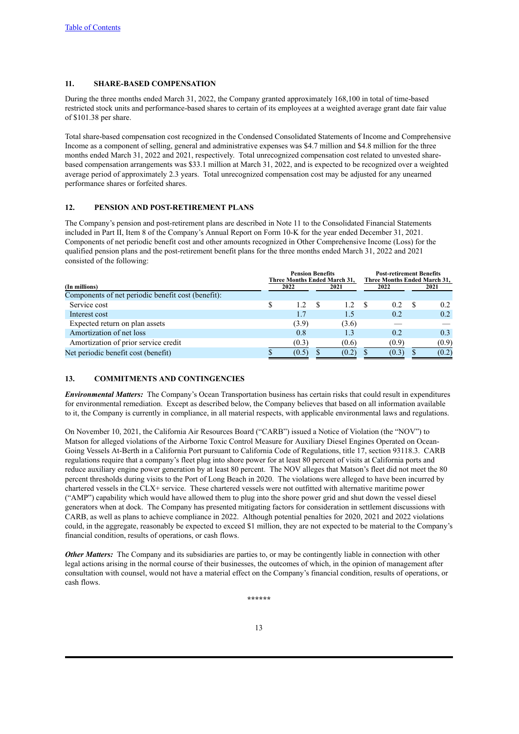#### **11. SHARE-BASED COMPENSATION**

During the three months ended March 31, 2022, the Company granted approximately 168,100 in total of time-based restricted stock units and performance-based shares to certain of its employees at a weighted average grant date fair value of \$101.38 per share.

Total share-based compensation cost recognized in the Condensed Consolidated Statements of Income and Comprehensive Income as a component of selling, general and administrative expenses was \$4.7 million and \$4.8 million for the three months ended March 31, 2022 and 2021, respectively. Total unrecognized compensation cost related to unvested sharebased compensation arrangements was \$33.1 million at March 31, 2022, and is expected to be recognized over a weighted average period of approximately 2.3 years. Total unrecognized compensation cost may be adjusted for any unearned performance shares or forfeited shares.

### **12. PENSION AND POST-RETIREMENT PLANS**

The Company's pension and post-retirement plans are described in Note 11 to the Consolidated Financial Statements included in Part II, Item 8 of the Company's Annual Report on Form 10-K for the year ended December 31, 2021. Components of net periodic benefit cost and other amounts recognized in Other Comprehensive Income (Loss) for the qualified pension plans and the post-retirement benefit plans for the three months ended March 31, 2022 and 2021 consisted of the following:

|                                                    | <b>Pension Benefits</b> |  | Three Months Ended March 31, | <b>Post-retirement Benefits</b><br>Three Months Ended March 31, |       |  |       |  |
|----------------------------------------------------|-------------------------|--|------------------------------|-----------------------------------------------------------------|-------|--|-------|--|
| (In millions)                                      | 2022<br>2021            |  |                              |                                                                 | 2022  |  | 2021  |  |
| Components of net periodic benefit cost (benefit): |                         |  |                              |                                                                 |       |  |       |  |
| Service cost                                       | 1.2                     |  | 1.2                          |                                                                 | 0.2   |  | 0.2   |  |
| Interest cost                                      | 1.7                     |  | 1.5                          |                                                                 | 0.2   |  | 0.2   |  |
| Expected return on plan assets                     | (3.9)                   |  | (3.6)                        |                                                                 |       |  |       |  |
| Amortization of net loss                           | 0.8                     |  | 1.3                          |                                                                 | 0.2   |  | 0.3   |  |
| Amortization of prior service credit               | (0.3)                   |  | (0.6)                        |                                                                 | (0.9) |  | (0.9) |  |
| Net periodic benefit cost (benefit)                | (0.5)                   |  | (0.2)                        |                                                                 | (0.3) |  | (0.2) |  |

#### **13. COMMITMENTS AND CONTINGENCIES**

*Environmental Matters:* The Company's Ocean Transportation business has certain risks that could result in expenditures for environmental remediation. Except as described below, the Company believes that based on all information available to it, the Company is currently in compliance, in all material respects, with applicable environmental laws and regulations.

On November 10, 2021, the California Air Resources Board ("CARB") issued a Notice of Violation (the "NOV") to Matson for alleged violations of the Airborne Toxic Control Measure for Auxiliary Diesel Engines Operated on Ocean-Going Vessels At-Berth in a California Port pursuant to California Code of Regulations, title 17, section 93118.3. CARB regulations require that a company's fleet plug into shore power for at least 80 percent of visits at California ports and reduce auxiliary engine power generation by at least 80 percent. The NOV alleges that Matson's fleet did not meet the 80 percent thresholds during visits to the Port of Long Beach in 2020. The violations were alleged to have been incurred by chartered vessels in the CLX+ service. These chartered vessels were not outfitted with alternative maritime power ("AMP") capability which would have allowed them to plug into the shore power grid and shut down the vessel diesel generators when at dock. The Company has presented mitigating factors for consideration in settlement discussions with CARB, as well as plans to achieve compliance in 2022. Although potential penalties for 2020, 2021 and 2022 violations could, in the aggregate, reasonably be expected to exceed \$1 million, they are not expected to be material to the Company's financial condition, results of operations, or cash flows.

*Other Matters:* The Company and its subsidiaries are parties to, or may be contingently liable in connection with other legal actions arising in the normal course of their businesses, the outcomes of which, in the opinion of management after consultation with counsel, would not have a material effect on the Company's financial condition, results of operations, or cash flows.

**\*\*\*\*\*\***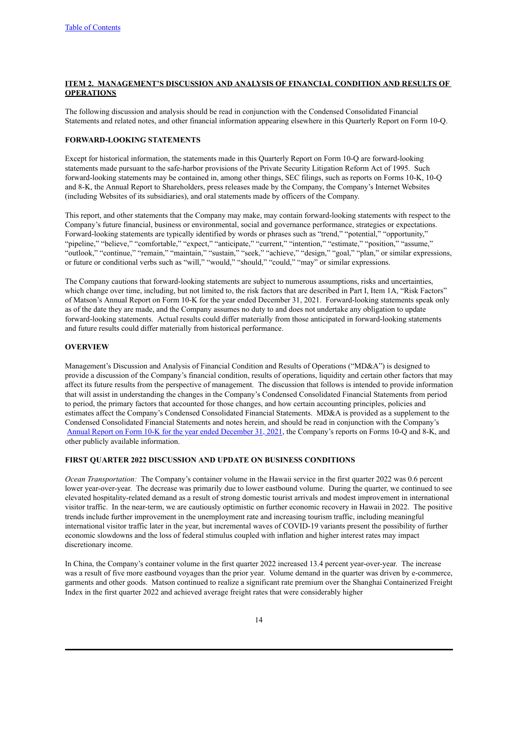#### <span id="page-15-0"></span>**ITEM 2. MANAGEMENT'S DISCUSSION AND ANALYSIS OF FINANCIAL CONDITION AND RESULTS OF OPERATIONS**

The following discussion and analysis should be read in conjunction with the Condensed Consolidated Financial Statements and related notes, and other financial information appearing elsewhere in this Quarterly Report on Form 10-Q.

# **FORWARD-LOOKING STATEMENTS**

Except for historical information, the statements made in this Quarterly Report on Form 10-Q are forward-looking statements made pursuant to the safe-harbor provisions of the Private Security Litigation Reform Act of 1995. Such forward-looking statements may be contained in, among other things, SEC filings, such as reports on Forms 10-K, 10-Q and 8-K, the Annual Report to Shareholders, press releases made by the Company, the Company's Internet Websites (including Websites of its subsidiaries), and oral statements made by officers of the Company.

This report, and other statements that the Company may make, may contain forward-looking statements with respect to the Company's future financial, business or environmental, social and governance performance, strategies or expectations. Forward-looking statements are typically identified by words or phrases such as "trend," "potential," "opportunity," "pipeline," "believe," "comfortable," "expect," "anticipate," "current," "intention," "estimate," "position," "assume," "outlook," "continue," "remain," "maintain," "sustain," "seek," "achieve," "design," "goal," "plan," or similar expressions, or future or conditional verbs such as "will," "would," "should," "could," "may" or similar expressions.

The Company cautions that forward-looking statements are subject to numerous assumptions, risks and uncertainties, which change over time, including, but not limited to, the risk factors that are described in Part I, Item 1A, "Risk Factors" of Matson's Annual Report on Form 10-K for the year ended December 31, 2021. Forward-looking statements speak only as of the date they are made, and the Company assumes no duty to and does not undertake any obligation to update forward-looking statements. Actual results could differ materially from those anticipated in forward-looking statements and future results could differ materially from historical performance.

#### **OVERVIEW**

Management's Discussion and Analysis of Financial Condition and Results of Operations ("MD&A") is designed to provide a discussion of the Company's financial condition, results of operations, liquidity and certain other factors that may affect its future results from the perspective of management. The discussion that follows is intended to provide information that will assist in understanding the changes in the Company's Condensed Consolidated Financial Statements from period to period, the primary factors that accounted for those changes, and how certain accounting principles, policies and estimates affect the Company's Condensed Consolidated Financial Statements. MD&A is provided as a supplement to the Condensed Consolidated Financial Statements and notes herein, and should be read in conjunction with the Company's Annual Report on Form 10-K for the year ended [December](https://www.sec.gov/ix?doc=/Archives/edgar/data/3453/000155837022002040/matx-20211231x10k.htm) 31, 2021, the Company's reports on Forms 10-Q and 8-K, and other publicly available information.

#### **FIRST QUARTER 2022 DISCUSSION AND UPDATE ON BUSINESS CONDITIONS**

*Ocean Transportation:* The Company's container volume in the Hawaii service in the first quarter 2022 was 0.6 percent lower year-over-year. The decrease was primarily due to lower eastbound volume. During the quarter, we continued to see elevated hospitality-related demand as a result of strong domestic tourist arrivals and modest improvement in international visitor traffic. In the near-term, we are cautiously optimistic on further economic recovery in Hawaii in 2022. The positive trends include further improvement in the unemployment rate and increasing tourism traffic, including meaningful international visitor traffic later in the year, but incremental waves of COVID-19 variants present the possibility of further economic slowdowns and the loss of federal stimulus coupled with inflation and higher interest rates may impact discretionary income.

In China, the Company's container volume in the first quarter 2022 increased 13.4 percent year-over-year. The increase was a result of five more eastbound voyages than the prior year. Volume demand in the quarter was driven by e-commerce, garments and other goods. Matson continued to realize a significant rate premium over the Shanghai Containerized Freight Index in the first quarter 2022 and achieved average freight rates that were considerably higher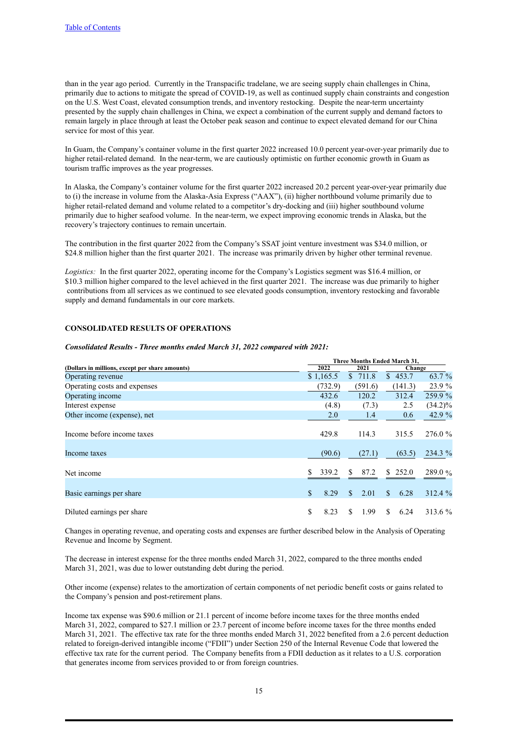than in the year ago period. Currently in the Transpacific tradelane, we are seeing supply chain challenges in China, primarily due to actions to mitigate the spread of COVID-19, as well as continued supply chain constraints and congestion on the U.S. West Coast, elevated consumption trends, and inventory restocking. Despite the near-term uncertainty presented by the supply chain challenges in China, we expect a combination of the current supply and demand factors to remain largely in place through at least the October peak season and continue to expect elevated demand for our China service for most of this year.

In Guam, the Company's container volume in the first quarter 2022 increased 10.0 percent year-over-year primarily due to higher retail-related demand. In the near-term, we are cautiously optimistic on further economic growth in Guam as tourism traffic improves as the year progresses.

In Alaska, the Company's container volume for the first quarter 2022 increased 20.2 percent year-over-year primarily due to (i) the increase in volume from the Alaska-Asia Express ("AAX"), (ii) higher northbound volume primarily due to higher retail-related demand and volume related to a competitor's dry-docking and (iii) higher southbound volume primarily due to higher seafood volume. In the near-term, we expect improving economic trends in Alaska, but the recovery's trajectory continues to remain uncertain.

The contribution in the first quarter 2022 from the Company's SSAT joint venture investment was \$34.0 million, or \$24.8 million higher than the first quarter 2021. The increase was primarily driven by higher other terminal revenue.

*Logistics:* In the first quarter 2022, operating income for the Company's Logistics segment was \$16.4 million, or \$10.3 million higher compared to the level achieved in the first quarter 2021. The increase was due primarily to higher contributions from all services as we continued to see elevated goods consumption, inventory restocking and favorable supply and demand fundamentals in our core markets.

# **CONSOLIDATED RESULTS OF OPERATIONS**

#### *Consolidated Results - Three months ended March 31, 2022 compared with 2021:*

|                                                 | Three Months Ended March 31. |             |            |            |  |  |  |
|-------------------------------------------------|------------------------------|-------------|------------|------------|--|--|--|
| (Dollars in millions, except per share amounts) | 2022                         | 2021        | Change     |            |  |  |  |
| Operating revenue                               | \$1,165.5                    | \$711.8     | \$453.7    | 63.7 %     |  |  |  |
| Operating costs and expenses                    | (732.9)                      | (591.6)     | (141.3)    | 23.9 %     |  |  |  |
| Operating income                                | 432.6                        | 120.2       | 312.4      | 259.9 %    |  |  |  |
| Interest expense                                | (4.8)                        | (7.3)       | 2.5        | $(34.2)\%$ |  |  |  |
| Other income (expense), net                     | 2.0                          | 1.4         | 0.6        | 42.9 %     |  |  |  |
|                                                 |                              |             |            |            |  |  |  |
| Income before income taxes                      | 429.8                        | 114.3       | 315.5      | 276.0%     |  |  |  |
|                                                 |                              |             |            |            |  |  |  |
| Income taxes                                    | (90.6)                       | (27.1)      | (63.5)     | 234.3 %    |  |  |  |
|                                                 |                              |             |            |            |  |  |  |
| Net income                                      | 339.2                        | 87.2<br>\$. | \$252.0    | 289.0%     |  |  |  |
|                                                 |                              |             |            |            |  |  |  |
| Basic earnings per share                        | \$<br>8.29                   | 2.01<br>\$. | \$<br>6.28 | 312.4 %    |  |  |  |
|                                                 |                              |             |            |            |  |  |  |
| Diluted earnings per share                      | S.<br>8.23                   | S.<br>1.99  | S.<br>6.24 | 313.6 %    |  |  |  |

Changes in operating revenue, and operating costs and expenses are further described below in the Analysis of Operating Revenue and Income by Segment.

The decrease in interest expense for the three months ended March 31, 2022, compared to the three months ended March 31, 2021, was due to lower outstanding debt during the period.

Other income (expense) relates to the amortization of certain components of net periodic benefit costs or gains related to the Company's pension and post-retirement plans.

Income tax expense was \$90.6 million or 21.1 percent of income before income taxes for the three months ended March 31, 2022, compared to \$27.1 million or 23.7 percent of income before income taxes for the three months ended March 31, 2021. The effective tax rate for the three months ended March 31, 2022 benefited from a 2.6 percent deduction related to foreign-derived intangible income ("FDII") under Section 250 of the Internal Revenue Code that lowered the effective tax rate for the current period. The Company benefits from a FDII deduction as it relates to a U.S. corporation that generates income from services provided to or from foreign countries.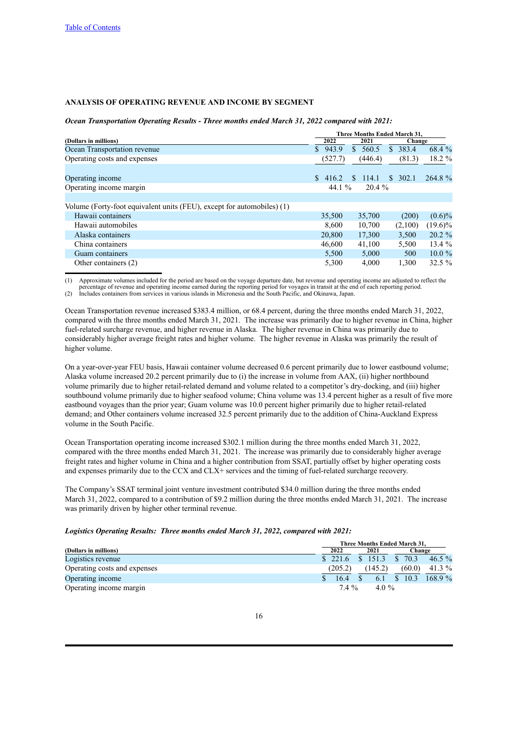#### **ANALYSIS OF OPERATING REVENUE AND INCOME BY SEGMENT**

#### *Ocean Transportation Operating Results - Three months ended March 31, 2022 compared with 2021:*

|                                                                        | <b>Three Months Ended March 31.</b> |                   |                         |            |  |
|------------------------------------------------------------------------|-------------------------------------|-------------------|-------------------------|------------|--|
| (Dollars in millions)                                                  | 2022                                | 2021              | Change                  |            |  |
| Ocean Transportation revenue                                           | \$<br>943.9                         | \$.<br>560.5      | 383.4<br>$\mathbb{S}^-$ | 68.4 %     |  |
| Operating costs and expenses                                           | (527.7)                             | (446.4)           | (81.3)                  | 18.2 %     |  |
| Operating income                                                       | \$416.2                             | <b>S</b><br>114.1 | S.<br>302.1             | 264.8%     |  |
| Operating income margin                                                | 44.1 $\%$                           | $20.4 \%$         |                         |            |  |
|                                                                        |                                     |                   |                         |            |  |
| Volume (Forty-foot equivalent units (FEU), except for automobiles) (1) |                                     |                   |                         |            |  |
| Hawaii containers                                                      | 35,500                              | 35,700            | (200)                   | $(0.6)\%$  |  |
| Hawaii automobiles                                                     | 8,600                               | 10,700            | (2,100)                 | $(19.6)\%$ |  |
| Alaska containers                                                      | 20,800                              | 17,300            | 3,500                   | $20.2 \%$  |  |
| China containers                                                       | 46,600                              | 41,100            | 5,500                   | 13.4%      |  |
| Guam containers                                                        | 5,500                               | 5,000             | 500                     | $10.0 \%$  |  |
| Other containers (2)                                                   | 5,300                               | 4,000             | 1,300                   | $32.5 \%$  |  |

(1) Approximate volumes included for the period are based on the voyage departure date, but revenue and operating income are adjusted to reflect the percentage of revenue and operating income earned during the reporting pe

Ocean Transportation revenue increased \$383.4 million, or 68.4 percent, during the three months ended March 31, 2022, compared with the three months ended March 31, 2021. The increase was primarily due to higher revenue in China, higher fuel-related surcharge revenue, and higher revenue in Alaska. The higher revenue in China was primarily due to considerably higher average freight rates and higher volume. The higher revenue in Alaska was primarily the result of higher volume.

On a year-over-year FEU basis, Hawaii container volume decreased 0.6 percent primarily due to lower eastbound volume; Alaska volume increased 20.2 percent primarily due to (i) the increase in volume from AAX, (ii) higher northbound volume primarily due to higher retail-related demand and volume related to a competitor's dry-docking, and (iii) higher southbound volume primarily due to higher seafood volume; China volume was 13.4 percent higher as a result of five more eastbound voyages than the prior year; Guam volume was 10.0 percent higher primarily due to higher retail-related demand; and Other containers volume increased 32.5 percent primarily due to the addition of China-Auckland Express volume in the South Pacific.

Ocean Transportation operating income increased \$302.1 million during the three months ended March 31, 2022, compared with the three months ended March 31, 2021. The increase was primarily due to considerably higher average freight rates and higher volume in China and a higher contribution from SSAT, partially offset by higher operating costs and expenses primarily due to the CCX and CLX+ services and the timing of fuel-related surcharge recovery.

The Company's SSAT terminal joint venture investment contributed \$34.0 million during the three months ended March 31, 2022, compared to a contribution of \$9.2 million during the three months ended March 31, 2021. The increase was primarily driven by higher other terminal revenue.

#### *Logistics Operating Results: Three months ended March 31, 2022, compared with 2021:*

|                              | <b>Three Months Ended March 31.</b> |                 |  |         |  |        |           |  |
|------------------------------|-------------------------------------|-----------------|--|---------|--|--------|-----------|--|
| (Dollars in millions)        | 2022<br>2021                        |                 |  |         |  | Change |           |  |
| Logistics revenue            |                                     | \$221.6         |  | \$151.3 |  | \$70.3 | 46.5 $\%$ |  |
| Operating costs and expenses |                                     | (205.2)         |  | (145.2) |  | (60.0) | 41.3 %    |  |
| Operating income             |                                     | 16.4            |  | 6.1     |  | \$10.3 | 168.9%    |  |
| Operating income margin      |                                     | 74 <sup>%</sup> |  | 40%     |  |        |           |  |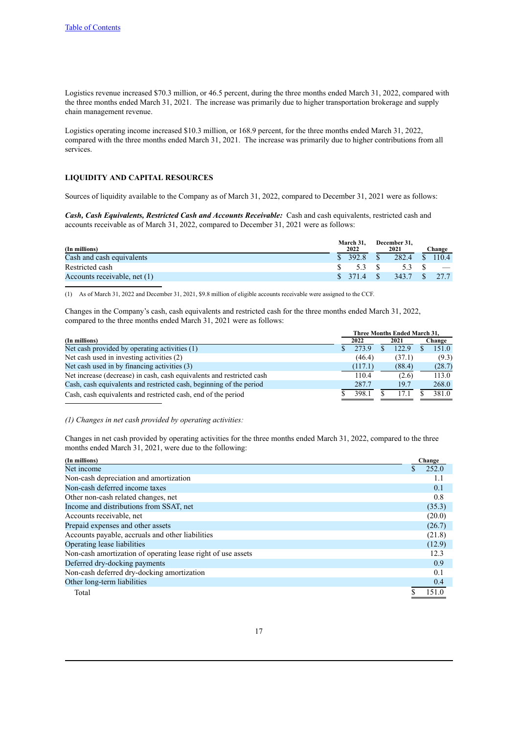Logistics revenue increased \$70.3 million, or 46.5 percent, during the three months ended March 31, 2022, compared with the three months ended March 31, 2021. The increase was primarily due to higher transportation brokerage and supply chain management revenue.

Logistics operating income increased \$10.3 million, or 168.9 percent, for the three months ended March 31, 2022, compared with the three months ended March 31, 2021. The increase was primarily due to higher contributions from all services.

# **LIQUIDITY AND CAPITAL RESOURCES**

Sources of liquidity available to the Company as of March 31, 2022, compared to December 31, 2021 were as follows:

*Cash, Cash Equivalents, Restricted Cash and Accounts Receivable:* Cash and cash equivalents, restricted cash and accounts receivable as of March 31, 2022, compared to December 31, 2021 were as follows:

| (In millions)                | March 31.<br>2022 |              | December 31.<br>2021 | <b>Change</b> |  |                  |
|------------------------------|-------------------|--------------|----------------------|---------------|--|------------------|
| Cash and cash equivalents    |                   | 392.8        |                      | 282.4         |  | \$110.4          |
| Restricted cash              |                   |              |                      | 53            |  |                  |
| Accounts receivable, net (1) |                   | $$371.4$ $$$ |                      | 343.7         |  | $\frac{1}{27.7}$ |

(1) As of March 31, 2022 and December 31, 2021, \$9.8 million of eligible accounts receivable were assigned to the CCF.

Changes in the Company's cash, cash equivalents and restricted cash for the three months ended March 31, 2022, compared to the three months ended March 31, 2021 were as follows:

|                                                                       | Three Months Ended March 31. |         |      |        |        |        |
|-----------------------------------------------------------------------|------------------------------|---------|------|--------|--------|--------|
| (In millions)                                                         | 2022                         |         | 2021 |        | Change |        |
| Net cash provided by operating activities (1)                         |                              | 273.9   |      | 122.9  |        | 151.0  |
| Net cash used in investing activities (2)                             |                              | (46.4)  |      | (37.1) |        | (9.3)  |
| Net cash used in by financing activities (3)                          |                              | (117.1) |      | (88.4) |        | (28.7) |
| Net increase (decrease) in cash, cash equivalents and restricted cash |                              | 110.4   |      | (2.6)  |        | 113.0  |
| Cash, cash equivalents and restricted cash, beginning of the period   |                              | 287.7   |      | 19.7   |        | 268.0  |
| Cash, cash equivalents and restricted cash, end of the period         |                              | 398.1   |      |        |        | 381.0  |

#### *(1) Changes in net cash provided by operating activities:*

Changes in net cash provided by operating activities for the three months ended March 31, 2022, compared to the three months ended March 31, 2021, were due to the following:

| (In millions)                                                | Change |
|--------------------------------------------------------------|--------|
| Net income                                                   | 252.0  |
| Non-cash depreciation and amortization                       | 1.1    |
| Non-cash deferred income taxes                               | 0.1    |
| Other non-cash related changes, net                          | 0.8    |
| Income and distributions from SSAT, net                      | (35.3) |
| Accounts receivable, net                                     | (20.0) |
| Prepaid expenses and other assets                            | (26.7) |
| Accounts payable, accruals and other liabilities             | (21.8) |
| Operating lease liabilities                                  | (12.9) |
| Non-cash amortization of operating lease right of use assets | 12.3   |
| Deferred dry-docking payments                                | 0.9    |
| Non-cash deferred dry-docking amortization                   | 0.1    |
| Other long-term liabilities                                  | 0.4    |
| Total                                                        | 151 0  |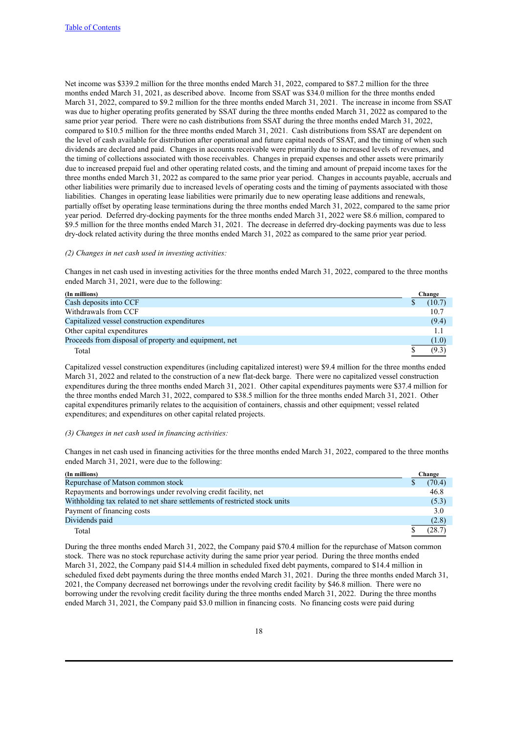Net income was \$339.2 million for the three months ended March 31, 2022, compared to \$87.2 million for the three months ended March 31, 2021, as described above. Income from SSAT was \$34.0 million for the three months ended March 31, 2022, compared to \$9.2 million for the three months ended March 31, 2021. The increase in income from SSAT was due to higher operating profits generated by SSAT during the three months ended March 31, 2022 as compared to the same prior year period. There were no cash distributions from SSAT during the three months ended March 31, 2022, compared to \$10.5 million for the three months ended March 31, 2021. Cash distributions from SSAT are dependent on the level of cash available for distribution after operational and future capital needs of SSAT, and the timing of when such dividends are declared and paid. Changes in accounts receivable were primarily due to increased levels of revenues, and the timing of collections associated with those receivables. Changes in prepaid expenses and other assets were primarily due to increased prepaid fuel and other operating related costs, and the timing and amount of prepaid income taxes for the three months ended March 31, 2022 as compared to the same prior year period. Changes in accounts payable, accruals and other liabilities were primarily due to increased levels of operating costs and the timing of payments associated with those liabilities. Changes in operating lease liabilities were primarily due to new operating lease additions and renewals, partially offset by operating lease terminations during the three months ended March 31, 2022, compared to the same prior year period. Deferred dry-docking payments for the three months ended March 31, 2022 were \$8.6 million, compared to \$9.5 million for the three months ended March 31, 2021. The decrease in deferred dry-docking payments was due to less dry-dock related activity during the three months ended March 31, 2022 as compared to the same prior year period.

# *(2) Changes in net cash used in investing activities:*

Changes in net cash used in investing activities for the three months ended March 31, 2022, compared to the three months ended March 31, 2021, were due to the following:

| (In millions)                                         | Change |
|-------------------------------------------------------|--------|
| Cash deposits into CCF                                | (10.7) |
| Withdrawals from CCF                                  | 10.7   |
| Capitalized vessel construction expenditures          | (9.4)  |
| Other capital expenditures                            | 1.1    |
| Proceeds from disposal of property and equipment, net | (1.0)  |
| Total                                                 | (9.3)  |

Capitalized vessel construction expenditures (including capitalized interest) were \$9.4 million for the three months ended March 31, 2022 and related to the construction of a new flat-deck barge. There were no capitalized vessel construction expenditures during the three months ended March 31, 2021. Other capital expenditures payments were \$37.4 million for the three months ended March 31, 2022, compared to \$38.5 million for the three months ended March 31, 2021. Other capital expenditures primarily relates to the acquisition of containers, chassis and other equipment; vessel related expenditures; and expenditures on other capital related projects.

#### *(3) Changes in net cash used in financing activities:*

Changes in net cash used in financing activities for the three months ended March 31, 2022, compared to the three months ended March 31, 2021, were due to the following:

| (In millions)                                                              | Change |
|----------------------------------------------------------------------------|--------|
| Repurchase of Matson common stock                                          | (70.4) |
| Repayments and borrowings under revolving credit facility, net             | 46.8   |
| Withholding tax related to net share settlements of restricted stock units | (5.3)  |
| Payment of financing costs                                                 | 3.0    |
| Dividends paid                                                             | (2.8)  |
| Total                                                                      | (28.7) |

During the three months ended March 31, 2022, the Company paid \$70.4 million for the repurchase of Matson common stock. There was no stock repurchase activity during the same prior year period. During the three months ended March 31, 2022, the Company paid \$14.4 million in scheduled fixed debt payments, compared to \$14.4 million in scheduled fixed debt payments during the three months ended March 31, 2021. During the three months ended March 31, 2021, the Company decreased net borrowings under the revolving credit facility by \$46.8 million. There were no borrowing under the revolving credit facility during the three months ended March 31, 2022. During the three months ended March 31, 2021, the Company paid \$3.0 million in financing costs. No financing costs were paid during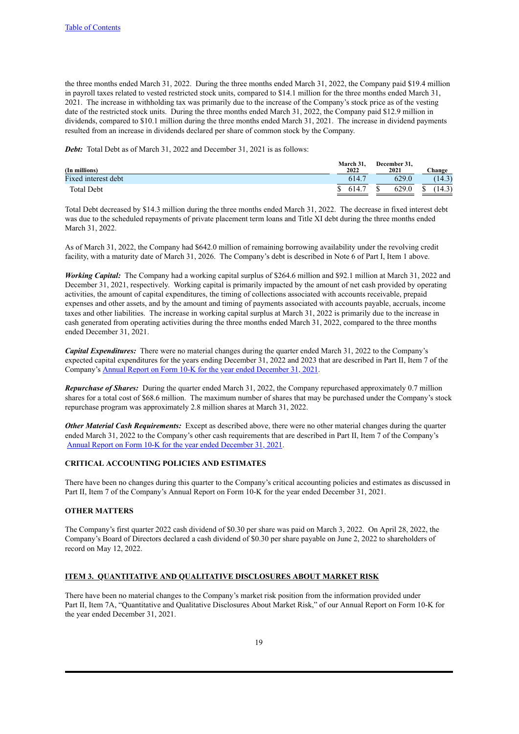the three months ended March 31, 2022. During the three months ended March 31, 2022, the Company paid \$19.4 million in payroll taxes related to vested restricted stock units, compared to \$14.1 million for the three months ended March 31, 2021. The increase in withholding tax was primarily due to the increase of the Company's stock price as of the vesting date of the restricted stock units. During the three months ended March 31, 2022, the Company paid \$12.9 million in dividends, compared to \$10.1 million during the three months ended March 31, 2021. The increase in dividend payments resulted from an increase in dividends declared per share of common stock by the Company.

*Debt:* Total Debt as of March 31, 2022 and December 31, 2021 is as follows:

| (In millions)       | March 31.<br>2022 | December 31,<br>2021 | <b>Change</b> |
|---------------------|-------------------|----------------------|---------------|
| Fixed interest debt | 614.7             | 629.0                | (14.3)        |
| <b>Total Debt</b>   | 614.7             | 629.0                | (14.3)        |

Total Debt decreased by \$14.3 million during the three months ended March 31, 2022. The decrease in fixed interest debt was due to the scheduled repayments of private placement term loans and Title XI debt during the three months ended March 31, 2022.

As of March 31, 2022, the Company had \$642.0 million of remaining borrowing availability under the revolving credit facility, with a maturity date of March 31, 2026. The Company's debt is described in Note 6 of Part I, Item 1 above.

*Working Capital:* The Company had a working capital surplus of \$264.6 million and \$92.1 million at March 31, 2022 and December 31, 2021, respectively. Working capital is primarily impacted by the amount of net cash provided by operating activities, the amount of capital expenditures, the timing of collections associated with accounts receivable, prepaid expenses and other assets, and by the amount and timing of payments associated with accounts payable, accruals, income taxes and other liabilities. The increase in working capital surplus at March 31, 2022 is primarily due to the increase in cash generated from operating activities during the three months ended March 31, 2022, compared to the three months ended December 31, 2021.

*Capital Expenditures:* There were no material changes during the quarter ended March 31, 2022 to the Company's expected capital expenditures for the years ending December 31, 2022 and 2023 that are described in Part II, Item 7 of the Company's Annual Report on Form 10-K for the year ended [December](https://www.sec.gov/ix?doc=/Archives/edgar/data/3453/000155837022002040/matx-20211231x10k.htm) 31, 2021.

*Repurchase of Shares:* During the quarter ended March 31, 2022, the Company repurchased approximately 0.7 million shares for a total cost of \$68.6 million. The maximum number of shares that may be purchased under the Company's stock repurchase program was approximately 2.8 million shares at March 31, 2022.

*Other Material Cash Requirements:* Except as described above, there were no other material changes during the quarter ended March 31, 2022 to the Company's other cash requirements that are described in Part II, Item 7 of the Company's Annual Report on Form 10-K for the year ended [December](https://www.sec.gov/ix?doc=/Archives/edgar/data/3453/000155837022002040/matx-20211231x10k.htm) 31, 2021.

### **CRITICAL ACCOUNTING POLICIES AND ESTIMATES**

There have been no changes during this quarter to the Company's critical accounting policies and estimates as discussed in Part II, Item 7 of the Company's Annual Report on Form 10-K for the year ended December 31, 2021.

### **OTHER MATTERS**

The Company's first quarter 2022 cash dividend of \$0.30 per share was paid on March 3, 2022. On April 28, 2022, the Company's Board of Directors declared a cash dividend of \$0.30 per share payable on June 2, 2022 to shareholders of record on May 12, 2022.

### <span id="page-20-0"></span>**ITEM 3. QUANTITATIVE AND QUALITATIVE DISCLOSURES ABOUT MARKET RISK**

There have been no material changes to the Company's market risk position from the information provided under Part II, Item 7A, "Quantitative and Qualitative Disclosures About Market Risk," of our Annual Report on Form 10-K for the year ended December 31, 2021.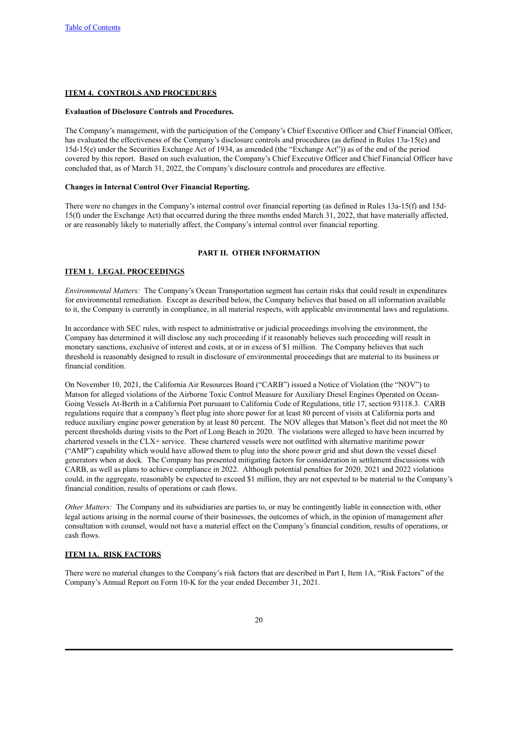#### <span id="page-21-0"></span>**ITEM 4. CONTROLS AND PROCEDURES**

#### **Evaluation of Disclosure Controls and Procedures.**

The Company's management, with the participation of the Company's Chief Executive Officer and Chief Financial Officer, has evaluated the effectiveness of the Company's disclosure controls and procedures (as defined in Rules 13a-15(e) and 15d-15(e) under the Securities Exchange Act of 1934, as amended (the "Exchange Act")) as of the end of the period covered by this report. Based on such evaluation, the Company's Chief Executive Officer and Chief Financial Officer have concluded that, as of March 31, 2022, the Company's disclosure controls and procedures are effective.

#### **Changes in Internal Control Over Financial Reporting.**

There were no changes in the Company's internal control over financial reporting (as defined in Rules 13a-15(f) and 15d-15(f) under the Exchange Act) that occurred during the three months ended March 31, 2022, that have materially affected, or are reasonably likely to materially affect, the Company's internal control over financial reporting.

# **PART II. OTHER INFORMATION**

#### <span id="page-21-2"></span><span id="page-21-1"></span>**ITEM 1. LEGAL PROCEEDINGS**

*Environmental Matters:* The Company's Ocean Transportation segment has certain risks that could result in expenditures for environmental remediation. Except as described below, the Company believes that based on all information available to it, the Company is currently in compliance, in all material respects, with applicable environmental laws and regulations.

In accordance with SEC rules, with respect to administrative or judicial proceedings involving the environment, the Company has determined it will disclose any such proceeding if it reasonably believes such proceeding will result in monetary sanctions, exclusive of interest and costs, at or in excess of \$1 million. The Company believes that such threshold is reasonably designed to result in disclosure of environmental proceedings that are material to its business or financial condition.

On November 10, 2021, the California Air Resources Board ("CARB") issued a Notice of Violation (the "NOV") to Matson for alleged violations of the Airborne Toxic Control Measure for Auxiliary Diesel Engines Operated on Ocean-Going Vessels At-Berth in a California Port pursuant to California Code of Regulations, title 17, section 93118.3. CARB regulations require that a company's fleet plug into shore power for at least 80 percent of visits at California ports and reduce auxiliary engine power generation by at least 80 percent. The NOV alleges that Matson's fleet did not meet the 80 percent thresholds during visits to the Port of Long Beach in 2020. The violations were alleged to have been incurred by chartered vessels in the CLX+ service. These chartered vessels were not outfitted with alternative maritime power ("AMP") capability which would have allowed them to plug into the shore power grid and shut down the vessel diesel generators when at dock. The Company has presented mitigating factors for consideration in settlement discussions with CARB, as well as plans to achieve compliance in 2022. Although potential penalties for 2020, 2021 and 2022 violations could, in the aggregate, reasonably be expected to exceed \$1 million, they are not expected to be material to the Company's financial condition, results of operations or cash flows.

*Other Matters:* The Company and its subsidiaries are parties to, or may be contingently liable in connection with, other legal actions arising in the normal course of their businesses, the outcomes of which, in the opinion of management after consultation with counsel, would not have a material effect on the Company's financial condition, results of operations, or cash flows.

#### <span id="page-21-3"></span>**ITEM 1A. RISK FACTORS**

There were no material changes to the Company's risk factors that are described in Part I, Item 1A, "Risk Factors" of the Company's Annual Report on Form 10-K for the year ended December 31, 2021.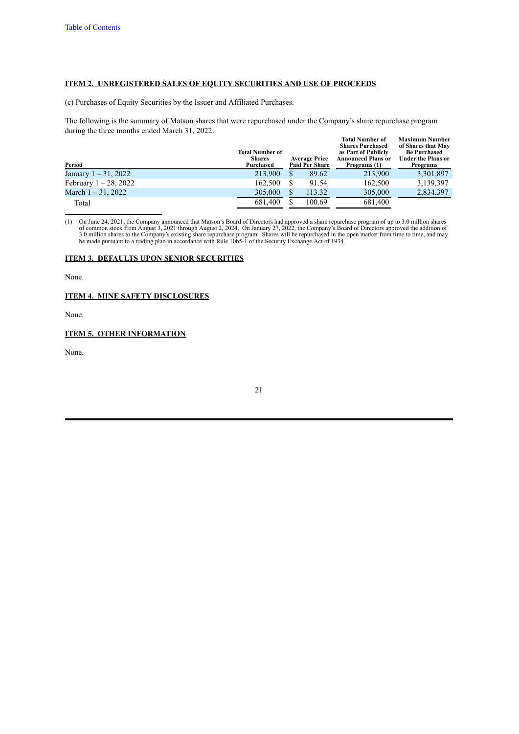# <span id="page-22-0"></span>**ITEM 2. UNREGISTERED SALES OF EQUITY SECURITIES AND USE OF PROCEEDS**

(c) Purchases of Equity Securities by the Issuer and Affiliated Purchases.

The following is the summary of Matson shares that were repurchased under the Company's share repurchase program during the three months ended March 31, 2022:

| $\frac{1}{2}$ and $\frac{1}{2}$ and $\frac{1}{2}$ and $\frac{1}{2}$ and $\frac{1}{2}$ and $\frac{1}{2}$ and $\frac{1}{2}$ and $\frac{1}{2}$ and $\frac{1}{2}$<br>Period | <b>Total Number of</b><br><b>Shares</b><br>Purchased | <b>Average Price</b><br><b>Paid Per Share</b> | <b>Total Number of</b><br><b>Shares Purchased</b><br>as Part of Publicly<br><b>Announced Plans or</b><br>Programs (1) | <b>Maximum Number</b><br>of Shares that May<br><b>Be Purchased</b><br><b>Under the Plans or</b><br>Programs |
|-------------------------------------------------------------------------------------------------------------------------------------------------------------------------|------------------------------------------------------|-----------------------------------------------|-----------------------------------------------------------------------------------------------------------------------|-------------------------------------------------------------------------------------------------------------|
| January $1 - 31$ , 2022                                                                                                                                                 | 213,900                                              | 89.62                                         | 213,900                                                                                                               | 3,301,897                                                                                                   |
| February $1 - 28$ , 2022                                                                                                                                                | 162.500                                              | 91.54                                         | 162.500                                                                                                               | 3,139,397                                                                                                   |
| March $1 - 31$ , 2022                                                                                                                                                   | 305,000                                              | 113.32                                        | 305,000                                                                                                               | 2,834,397                                                                                                   |
| Total                                                                                                                                                                   | 681.400                                              | 100.69                                        | 681,400                                                                                                               |                                                                                                             |

(1) On June 24, 2021, the Company announced that Matson's Board of Directors had approved a share repurchase program of up to 3.0 million shares of common stock from August 3, 2021 through August 2, 2024. On January 27, 20

# <span id="page-22-1"></span>**ITEM 3. DEFAULTS UPON SENIOR SECURITIES**

None.

#### <span id="page-22-2"></span>**ITEM 4. MINE SAFETY DISCLOSURES**

None.

# <span id="page-22-3"></span>**ITEM 5. OTHER INFORMATION**

None.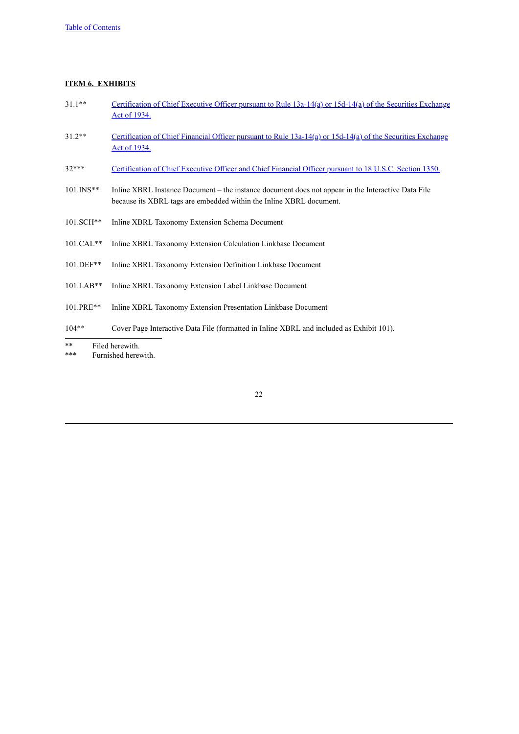# <span id="page-23-0"></span>**ITEM 6. EXHIBITS**

- 31.1\*\* [Certification](#page-25-0) of Chief Executive Officer pursuant to Rule 13a-14(a) or 15d-14(a) of the Securities Exchange Act of 1934.
- 31.2\*\* [Certification](#page-26-0) of Chief Financial Officer pursuant to Rule 13a-14(a) or 15d-14(a) of the Securities Exchange Act of 1934.
- 32\*\*\* [Certification](#page-27-0) of Chief Executive Officer and Chief Financial Officer pursuant to 18 U.S.C. Section 1350.
- 101.INS\*\* Inline XBRL Instance Document the instance document does not appear in the Interactive Data File because its XBRL tags are embedded within the Inline XBRL document.
- 101.SCH\*\* Inline XBRL Taxonomy Extension Schema Document
- 101.CAL\*\* Inline XBRL Taxonomy Extension Calculation Linkbase Document
- 101.DEF\*\* Inline XBRL Taxonomy Extension Definition Linkbase Document
- 101.LAB\*\* Inline XBRL Taxonomy Extension Label Linkbase Document
- 101.PRE\*\* Inline XBRL Taxonomy Extension Presentation Linkbase Document

104\*\* Cover Page Interactive Data File (formatted in Inline XBRL and included as Exhibit 101).

\*\* Filed herewith.

\*\*\* Furnished herewith.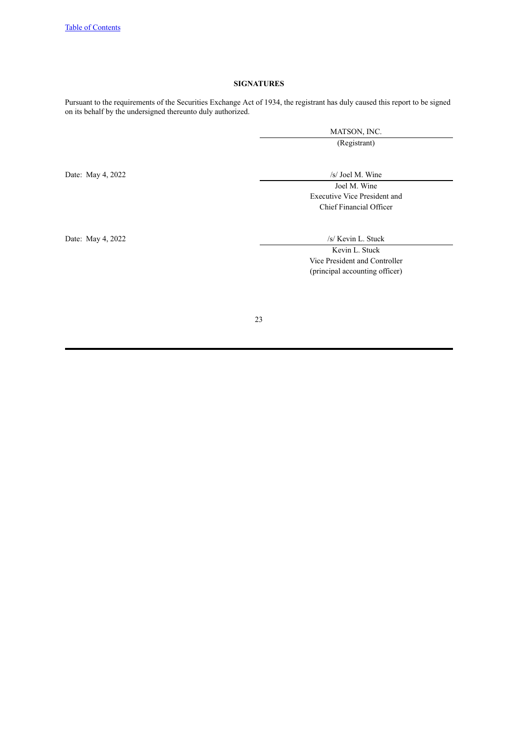# **SIGNATURES**

<span id="page-24-0"></span>Pursuant to the requirements of the Securities Exchange Act of 1934, the registrant has duly caused this report to be signed on its behalf by the undersigned thereunto duly authorized.

MATSON, INC.

(Registrant)

Date: May 4, 2022 /s/ Joel M. Wine Joel M. Wine Executive Vice President and Chief Financial Officer

Date: May 4, 2022 /s/ Kevin L. Stuck

Kevin L. Stuck Vice President and Controller (principal accounting officer)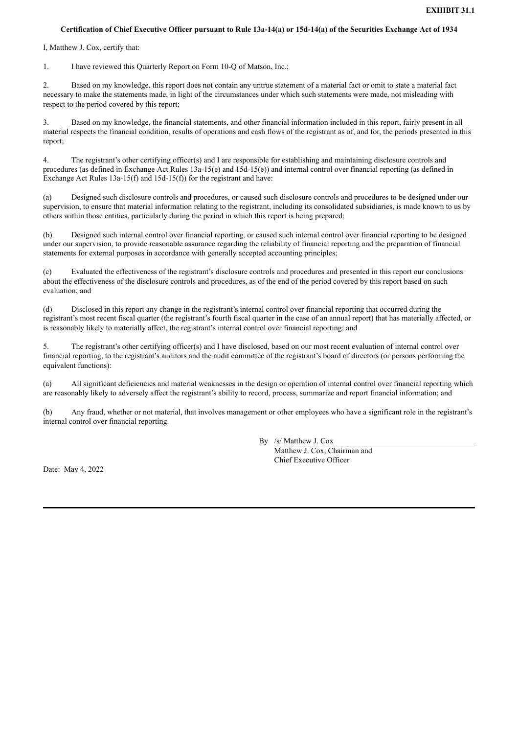#### Certification of Chief Executive Officer pursuant to Rule 13a-14(a) or 15d-14(a) of the Securities Exchange Act of 1934

<span id="page-25-0"></span>I, Matthew J. Cox, certify that:

1. I have reviewed this Quarterly Report on Form 10-Q of Matson, Inc.;

2. Based on my knowledge, this report does not contain any untrue statement of a material fact or omit to state a material fact necessary to make the statements made, in light of the circumstances under which such statements were made, not misleading with respect to the period covered by this report;

3. Based on my knowledge, the financial statements, and other financial information included in this report, fairly present in all material respects the financial condition, results of operations and cash flows of the registrant as of, and for, the periods presented in this report;

4. The registrant's other certifying officer(s) and I are responsible for establishing and maintaining disclosure controls and procedures (as defined in Exchange Act Rules 13a-15(e) and 15d-15(e)) and internal control over financial reporting (as defined in Exchange Act Rules 13a-15(f) and 15d-15(f)) for the registrant and have:

(a) Designed such disclosure controls and procedures, or caused such disclosure controls and procedures to be designed under our supervision, to ensure that material information relating to the registrant, including its consolidated subsidiaries, is made known to us by others within those entities, particularly during the period in which this report is being prepared;

(b) Designed such internal control over financial reporting, or caused such internal control over financial reporting to be designed under our supervision, to provide reasonable assurance regarding the reliability of financial reporting and the preparation of financial statements for external purposes in accordance with generally accepted accounting principles;

(c) Evaluated the effectiveness of the registrant's disclosure controls and procedures and presented in this report our conclusions about the effectiveness of the disclosure controls and procedures, as of the end of the period covered by this report based on such evaluation; and

(d) Disclosed in this report any change in the registrant's internal control over financial reporting that occurred during the registrant's most recent fiscal quarter (the registrant's fourth fiscal quarter in the case of an annual report) that has materially affected, or is reasonably likely to materially affect, the registrant's internal control over financial reporting; and

5. The registrant's other certifying officer(s) and I have disclosed, based on our most recent evaluation of internal control over financial reporting, to the registrant's auditors and the audit committee of the registrant's board of directors (or persons performing the equivalent functions):

(a) All significant deficiencies and material weaknesses in the design or operation of internal control over financial reporting which are reasonably likely to adversely affect the registrant's ability to record, process, summarize and report financial information; and

(b) Any fraud, whether or not material, that involves management or other employees who have a significant role in the registrant's internal control over financial reporting.

By /s/ Matthew J. Cox

Matthew J. Cox, Chairman and Chief Executive Officer

Date: May 4, 2022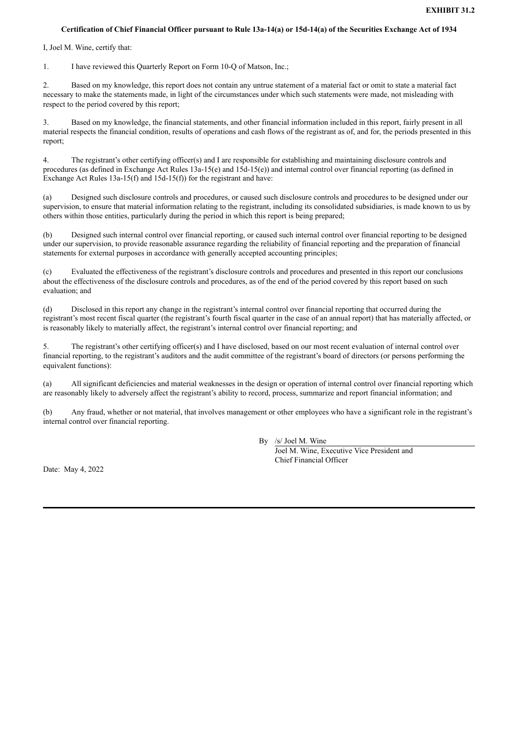#### Certification of Chief Financial Officer pursuant to Rule 13a-14(a) or 15d-14(a) of the Securities Exchange Act of 1934

<span id="page-26-0"></span>I, Joel M. Wine, certify that:

1. I have reviewed this Quarterly Report on Form 10-Q of Matson, Inc.;

2. Based on my knowledge, this report does not contain any untrue statement of a material fact or omit to state a material fact necessary to make the statements made, in light of the circumstances under which such statements were made, not misleading with respect to the period covered by this report;

3. Based on my knowledge, the financial statements, and other financial information included in this report, fairly present in all material respects the financial condition, results of operations and cash flows of the registrant as of, and for, the periods presented in this report;

4. The registrant's other certifying officer(s) and I are responsible for establishing and maintaining disclosure controls and procedures (as defined in Exchange Act Rules 13a-15(e) and 15d-15(e)) and internal control over financial reporting (as defined in Exchange Act Rules 13a-15(f) and 15d-15(f)) for the registrant and have:

(a) Designed such disclosure controls and procedures, or caused such disclosure controls and procedures to be designed under our supervision, to ensure that material information relating to the registrant, including its consolidated subsidiaries, is made known to us by others within those entities, particularly during the period in which this report is being prepared;

(b) Designed such internal control over financial reporting, or caused such internal control over financial reporting to be designed under our supervision, to provide reasonable assurance regarding the reliability of financial reporting and the preparation of financial statements for external purposes in accordance with generally accepted accounting principles;

(c) Evaluated the effectiveness of the registrant's disclosure controls and procedures and presented in this report our conclusions about the effectiveness of the disclosure controls and procedures, as of the end of the period covered by this report based on such evaluation; and

(d) Disclosed in this report any change in the registrant's internal control over financial reporting that occurred during the registrant's most recent fiscal quarter (the registrant's fourth fiscal quarter in the case of an annual report) that has materially affected, or is reasonably likely to materially affect, the registrant's internal control over financial reporting; and

5. The registrant's other certifying officer(s) and I have disclosed, based on our most recent evaluation of internal control over financial reporting, to the registrant's auditors and the audit committee of the registrant's board of directors (or persons performing the equivalent functions):

(a) All significant deficiencies and material weaknesses in the design or operation of internal control over financial reporting which are reasonably likely to adversely affect the registrant's ability to record, process, summarize and report financial information; and

(b) Any fraud, whether or not material, that involves management or other employees who have a significant role in the registrant's internal control over financial reporting.

By /s/ Joel M. Wine

Joel M. Wine, Executive Vice President and Chief Financial Officer

Date: May 4, 2022